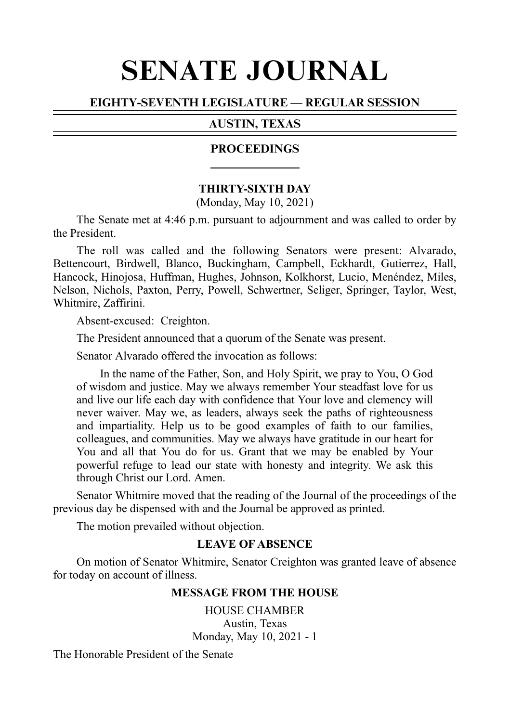# SENATE JOURNAL

# EIGHTY-SEVENTH LEGISLATURE — REGULAR SESSION

# AUSTIN, TEXAS

### **PROCEEDINGS**

### **THIRTY-SIXTH DAY**

(Monday, May 10, 2021)

The Senate met at 4:46 p.m. pursuant to adjournment and was called to order by the President.

The roll was called and the following Senators were present: Alvarado, Bettencourt, Birdwell, Blanco, Buckingham, Campbell, Eckhardt, Gutierrez, Hall, Hancock, Hinojosa, Huffman, Hughes, Johnson, Kolkhorst, Lucio, Menéndez, Miles, Nelson, Nichols, Paxton, Perry, Powell, Schwertner, Seliger, Springer, Taylor, West, Whitmire, Zaffirini.

Absent-excused: Creighton.

The President announced that a quorum of the Senate was present.

Senator Alvarado offered the invocation as follows:

In the name of the Father, Son, and Holy Spirit, we pray to You, O God of wisdom and justice. May we always remember Your steadfast love for us and live our life each day with confidence that Your love and clemency will never waiver. May we, as leaders, always seek the paths of righteousness and impartiality. Help us to be good examples of faith to our families, colleagues, and communities. May we always have gratitude in our heart for You and all that You do for us. Grant that we may be enabled by Your powerful refuge to lead our state with honesty and integrity. We ask this through Christ our Lord. Amen.

Senator Whitmire moved that the reading of the Journal of the proceedings of the previous day be dispensed with and the Journal be approved as printed.

The motion prevailed without objection.

### **LEAVE OF ABSENCE**

On motion of Senator Whitmire, Senator Creighton was granted leave of absence for today on account of illness.

### **MESSAGE FROM THE HOUSE**

HOUSE CHAMBER Austin, Texas Monday, May 10, 2021 - 1

The Honorable President of the Senate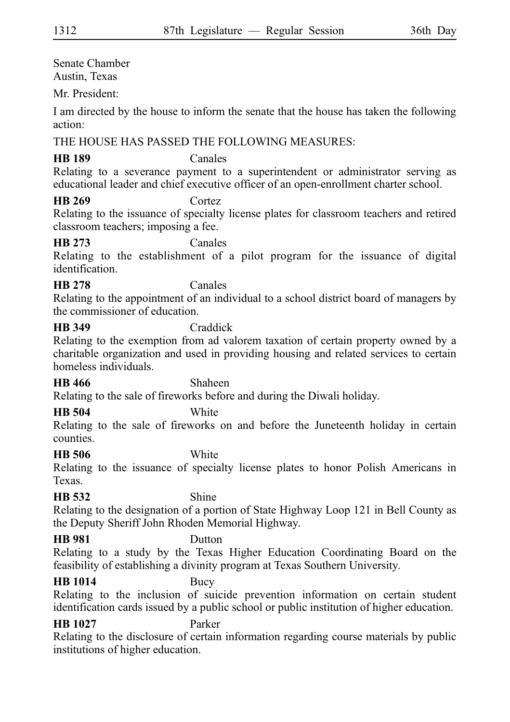Senate Chamber Austin, Texas

Mr. President:

I am directed by the house to inform the senate that the house has taken the following action:

# THE HOUSE HAS PASSED THE FOLLOWING MEASURES:

# **HB 189** Canales

Relating to a severance payment to a superintendent or administrator serving as educational leader and chief executive officer of an open-enrollment charter school.

**HB 269** Cortez

Relating to the issuance of specialty license plates for classroom teachers and retired classroom teachers; imposing a fee.

# **HB 273** Canales

Relating to the establishment of a pilot program for the issuance of digital identification.

### **HB 278** Canales

Relating to the appointment of an individual to a school district board of managers by the commissioner of education.

# **HB 349** Craddick

Relating to the exemption from ad valorem taxation of certain property owned by a charitable organization and used in providing housing and related services to certain homeless individuals.

**HB 466** Shaheen

Relating to the sale of fireworks before and during the Diwali holiday.

# **HB 504** White

Relating to the sale of fireworks on and before the Juneteenth holiday in certain counties.

# **HB 506** White

Relating to the issuance of specialty license plates to honor Polish Americans in Texas.

# **HB 532** Shine

Relating to the designation of a portion of State Highway Loop 121 in Bell County as the Deputy Sheriff John Rhoden Memorial Highway.

# **HB 981** Dutton

Relating to a study by the Texas Higher Education Coordinating Board on the feasibility of establishing a divinity program at Texas Southern University.

# **HB 1014** Bucy

Relating to the inclusion of suicide prevention information on certain student identification cards issued by a public school or public institution of higher education.

# **HB 1027** Parker

Relating to the disclosure of certain information regarding course materials by public institutions of higher education.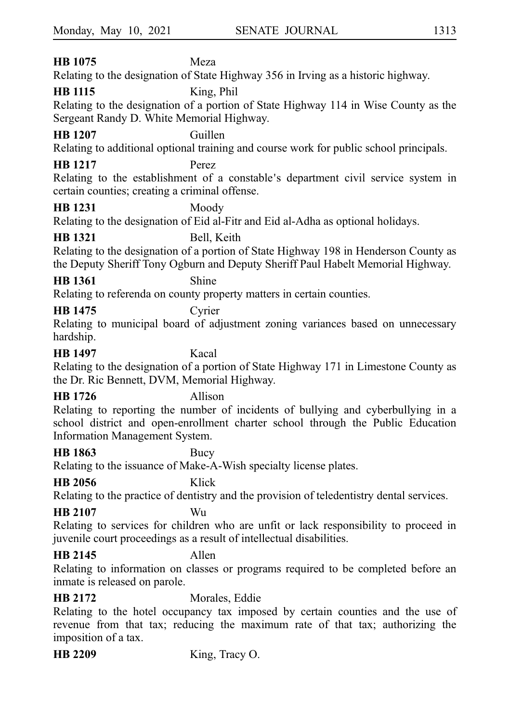# **HB 1075** Meza

Relating to the designation of State Highway 356 in Irving as a historic highway.

# **HB 1115** King, Phil

Relating to the designation of a portion of State Highway 114 in Wise County as the Sergeant Randy D. White Memorial Highway.

# **HB 1207** Guillen

Relating to additional optional training and course work for public school principals.

# **HB 1217** Perez

Relating to the establishment of a constable's department civil service system in certain counties; creating a criminal offense.

### **HB 1231** Moody

Relating to the designation of Eid al-Fitr and Eid al-Adha as optional holidays.

# **HB 1321** Bell, Keith

Relating to the designation of a portion of State Highway 198 in Henderson County as the Deputy Sheriff Tony Ogburn and Deputy Sheriff Paul Habelt Memorial Highway.

# **HB 1361** Shine

Relating to referenda on county property matters in certain counties.

# **HB 1475** Cyrier

Relating to municipal board of adjustment zoning variances based on unnecessary hardship.

### **HB 1497** Kacal

Relating to the designation of a portion of State Highway 171 in Limestone County as the Dr. Ric Bennett, DVM, Memorial Highway.

# **HB 1726** Allison

Relating to reporting the number of incidents of bullying and cyberbullying in a school district and open-enrollment charter school through the Public Education Information Management System.

# **HB 1863** Bucy

Relating to the issuance of Make-A-Wish specialty license plates.

# **HB 2056** Klick

Relating to the practice of dentistry and the provision of teledentistry dental services.

# **HB 2107** Wu

Relating to services for children who are unfit or lack responsibility to proceed in juvenile court proceedings as a result of intellectual disabilities.

# **HB 2145** Allen

Relating to information on classes or programs required to be completed before an inmate is released on parole.

**HB 2172** Morales, Eddie

Relating to the hotel occupancy tax imposed by certain counties and the use of revenue from that tax; reducing the maximum rate of that tax; authorizing the imposition of a tax.

**HB 2209** King, Tracy O.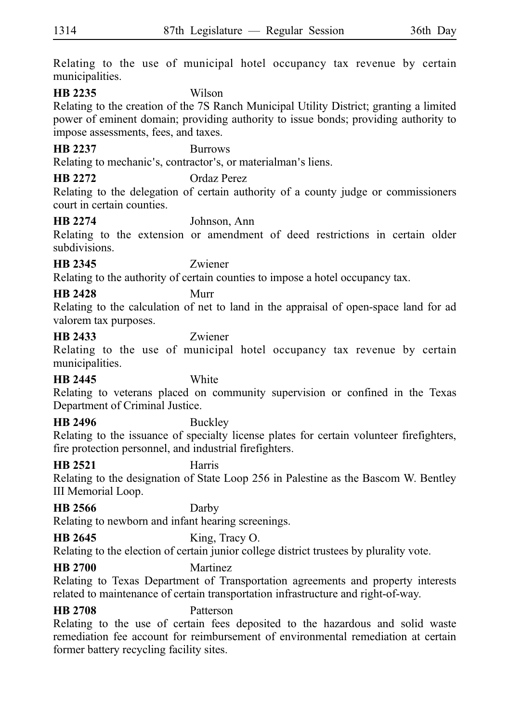Relating to the use of municipal hotel occupancy tax revenue by certain municipalities.

### **HB 2235** Wilson

Relating to the creation of the 7S Ranch Municipal Utility District; granting a limited power of eminent domain; providing authority to issue bonds; providing authority to impose assessments, fees, and taxes.

# **HB 2237** Burrows

Relating to mechanic's, contractor's, or materialman's liens.

**HB 2272** Ordaz Perez

Relating to the delegation of certain authority of a county judge or commissioners court in certain counties.

# **HB 2274** Johnson, Ann

Relating to the extension or amendment of deed restrictions in certain older subdivisions.

# **HB 2345** Zwiener

Relating to the authority of certain counties to impose a hotel occupancy tax.

# **HB 2428** Murr

Relating to the calculation of net to land in the appraisal of open-space land for ad valorem tax purposes.

### **HB 2433** Zwiener

Relating to the use of municipal hotel occupancy tax revenue by certain municipalities.

# **HB 2445** White

Relating to veterans placed on community supervision or confined in the Texas Department of Criminal Justice.

### **HB 2496** Buckley

Relating to the issuance of specialty license plates for certain volunteer firefighters, fire protection personnel, and industrial firefighters.

# **HB 2521** Harris

Relating to the designation of State Loop 256 in Palestine as the Bascom W. Bentley III Memorial Loop.

# **HB 2566** Darby

Relating to newborn and infant hearing screenings.

# **HB 2645** King, Tracy O.

Relating to the election of certain junior college district trustees by plurality vote.

### **HB 2700** Martinez

Relating to Texas Department of Transportation agreements and property interests related to maintenance of certain transportation infrastructure and right-of-way.

# **HB 2708** Patterson

Relating to the use of certain fees deposited to the hazardous and solid waste remediation fee account for reimbursement of environmental remediation at certain former battery recycling facility sites.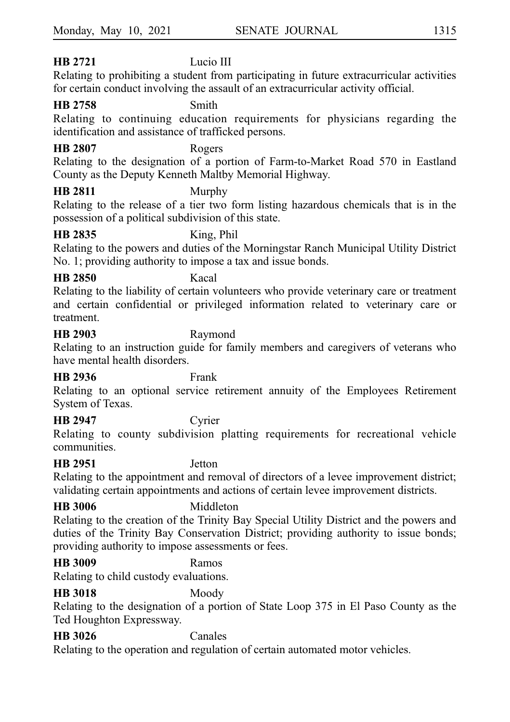# **HB 2721** Lucio III

Relating to prohibiting a student from participating in future extracurricular activities for certain conduct involving the assault of an extracurricular activity official.

### **HB 2758** Smith

Relating to continuing education requirements for physicians regarding the identification and assistance of trafficked persons.

### **HB 2807** Rogers

Relating to the designation of a portion of Farm-to-Market Road 570 in Eastland County as the Deputy Kenneth Maltby Memorial Highway.

### **HB 2811** Murphy

Relating to the release of a tier two form listing hazardous chemicals that is in the possession of a political subdivision of this state.

### **HB 2835** King, Phil

Relating to the powers and duties of the Morningstar Ranch Municipal Utility District No. 1; providing authority to impose a tax and issue bonds.

### **HB 2850** Kacal

Relating to the liability of certain volunteers who provide veterinary care or treatment and certain confidential or privileged information related to veterinary care or treatment.

### **HB 2903** Raymond

Relating to an instruction guide for family members and caregivers of veterans who have mental health disorders.

### **HB 2936** Frank

Relating to an optional service retirement annuity of the Employees Retirement System of Texas.

### **HB 2947** Cyrier

Relating to county subdivision platting requirements for recreational vehicle communities.

### **HB 2951** Jetton

Relating to the appointment and removal of directors of a levee improvement district; validating certain appointments and actions of certain levee improvement districts.

### **HB 3006** Middleton

Relating to the creation of the Trinity Bay Special Utility District and the powers and duties of the Trinity Bay Conservation District; providing authority to issue bonds; providing authority to impose assessments or fees.

# **HB 3009** Ramos

Relating to child custody evaluations.

### **HB 3018** Moody

Relating to the designation of a portion of State Loop 375 in El Paso County as the Ted Houghton Expressway.

# **HB 3026** Canales

Relating to the operation and regulation of certain automated motor vehicles.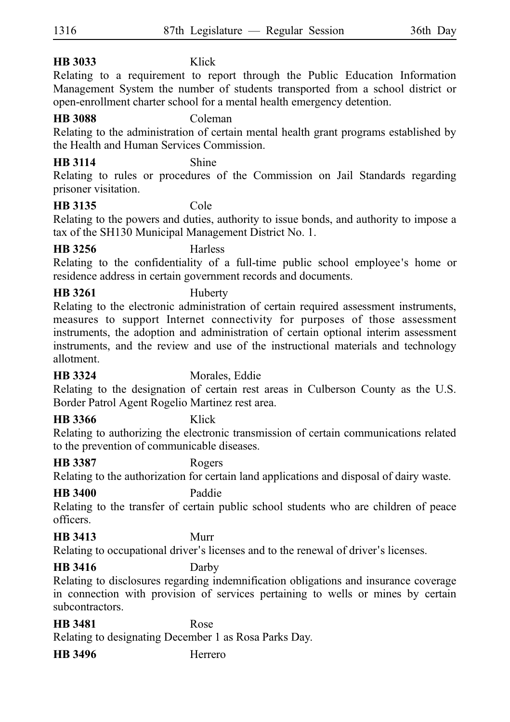# **HB 3033** Klick

Relating to a requirement to report through the Public Education Information Management System the number of students transported from a school district or open-enrollment charter school for a mental health emergency detention.

# **HB 3088** Coleman

Relating to the administration of certain mental health grant programs established by the Health and Human Services Commission.

### **HB 3114** Shine

Relating to rules or procedures of the Commission on Jail Standards regarding prisoner visitation.

# **HB 3135** Cole

Relating to the powers and duties, authority to issue bonds, and authority to impose a tax of the SH130 Municipal Management District No. 1.

**HB 3256** Harless

Relating to the confidentiality of a full-time public school employee's home or residence address in certain government records and documents.

# **HB 3261** Huberty

Relating to the electronic administration of certain required assessment instruments, measures to support Internet connectivity for purposes of those assessment instruments, the adoption and administration of certain optional interim assessment instruments, and the review and use of the instructional materials and technology allotment.

### **HB 3324** Morales, Eddie

Relating to the designation of certain rest areas in Culberson County as the U.S. Border Patrol Agent Rogelio Martinez rest area.

### **HB 3366** Klick

Relating to authorizing the electronic transmission of certain communications related to the prevention of communicable diseases.

# **HB 3387** Rogers

Relating to the authorization for certain land applications and disposal of dairy waste.

### **HB 3400** Paddie

Relating to the transfer of certain public school students who are children of peace officers.

# **HB 3413** Murr

Relating to occupational driver's licenses and to the renewal of driver's licenses.

# **HB 3416** Darby

Relating to disclosures regarding indemnification obligations and insurance coverage in connection with provision of services pertaining to wells or mines by certain subcontractors.

# **HB 3481** Rose

Relating to designating December 1 as Rosa Parks Day.

**HB 3496** Herrero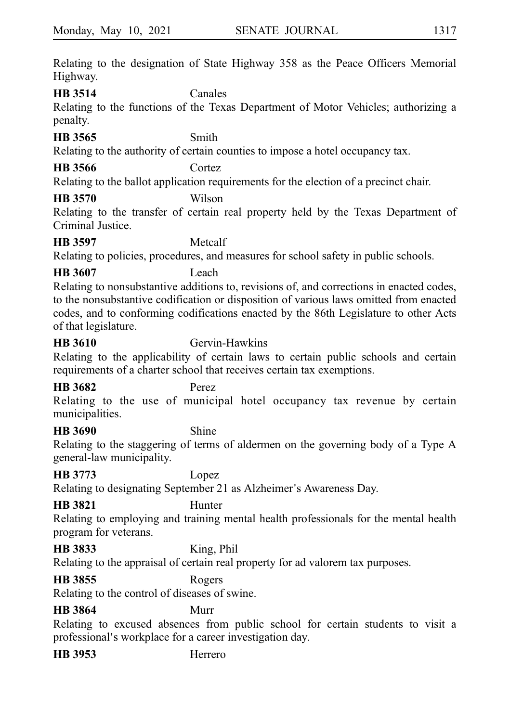Relating to the designation of State Highway 358 as the Peace Officers Memorial Highway.

**HB 3514** Canales

Relating to the functions of the Texas Department of Motor Vehicles; authorizing a penalty.

### **HB 3565** Smith

Relating to the authority of certain counties to impose a hotel occupancy tax.

**HB 3566** Cortez

Relating to the ballot application requirements for the election of a precinct chair.

# **HB 3570** Wilson

Relating to the transfer of certain real property held by the Texas Department of Criminal Justice.

# **HB 3597** Metcalf

Relating to policies, procedures, and measures for school safety in public schools.

# **HB 3607** Leach

Relating to nonsubstantive additions to, revisions of, and corrections in enacted codes, to the nonsubstantive codification or disposition of various laws omitted from enacted codes, and to conforming codifications enacted by the 86th Legislature to other Acts of that legislature.

**HB 3610** Gervin-Hawkins

Relating to the applicability of certain laws to certain public schools and certain requirements of a charter school that receives certain tax exemptions.

# **HB 3682** Perez

Relating to the use of municipal hotel occupancy tax revenue by certain municipalities.

# **HB 3690** Shine

Relating to the staggering of terms of aldermen on the governing body of a Type A general-law municipality.

# **HB 3773** Lopez

Relating to designating September 21 as Alzheimer's Awareness Day.

# **HB 3821** Hunter

Relating to employing and training mental health professionals for the mental health program for veterans.

# **HB 3833** King, Phil

Relating to the appraisal of certain real property for ad valorem tax purposes.

# **HB 3855** Rogers

Relating to the control of diseases of swine.

# **HB 3864** Murr

Relating to excused absences from public school for certain students to visit a professional's workplace for a career investigation day.

**HB 3953** Herrero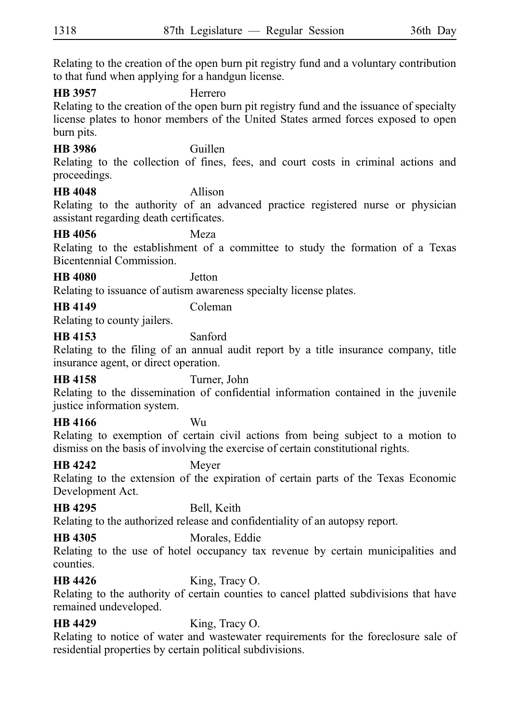Relating to the creation of the open burn pit registry fund and a voluntary contribution to that fund when applying for a handgun license.

### **HB 3957** Herrero

Relating to the creation of the open burn pit registry fund and the issuance of specialty license plates to honor members of the United States armed forces exposed to open burn pits.

### **HB 3986** Guillen

Relating to the collection of fines, fees, and court costs in criminal actions and proceedings.

### **HB 4048** Allison

Relating to the authority of an advanced practice registered nurse or physician assistant regarding death certificates.

### **HB 4056** Meza

Relating to the establishment of a committee to study the formation of a Texas Bicentennial Commission.

### **HB 4080** Jetton

Relating to issuance of autism awareness specialty license plates.

# **HB 4149** Coleman

Relating to county jailers.

### **HB 4153** Sanford

Relating to the filing of an annual audit report by a title insurance company, title insurance agent, or direct operation.

# **HB 4158** Turner, John

Relating to the dissemination of confidential information contained in the juvenile justice information system.

### **HB 4166** Wu

Relating to exemption of certain civil actions from being subject to a motion to dismiss on the basis of involving the exercise of certain constitutional rights.

### **HB 4242** Meyer

Relating to the extension of the expiration of certain parts of the Texas Economic Development Act.

### **HB 4295** Bell, Keith

Relating to the authorized release and confidentiality of an autopsy report.

# **HB 4305** Morales, Eddie

Relating to the use of hotel occupancy tax revenue by certain municipalities and counties.

# **HB 4426** King, Tracy O.

Relating to the authority of certain counties to cancel platted subdivisions that have remained undeveloped.

# **HB 4429** King, Tracy O.

Relating to notice of water and wastewater requirements for the foreclosure sale of residential properties by certain political subdivisions.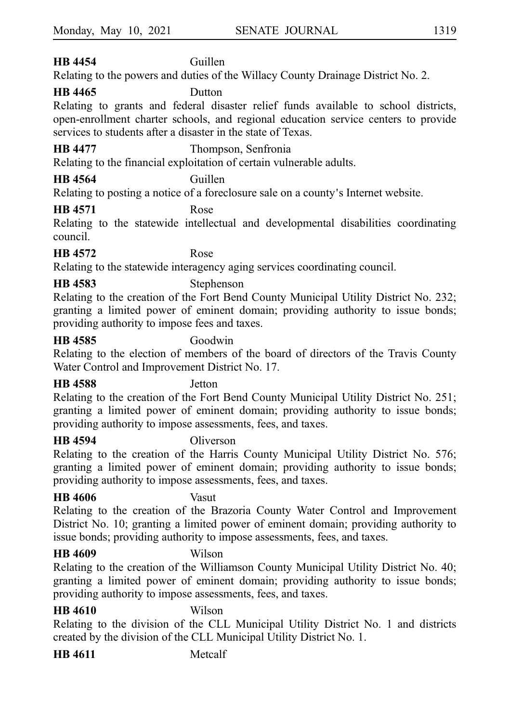# **HB 4454** Guillen

Relating to the powers and duties of the Willacy County Drainage District No. 2.

# **HB 4465** Dutton

Relating to grants and federal disaster relief funds available to school districts, open-enrollment charter schools, and regional education service centers to provide services to students after a disaster in the state of Texas.

**HB 4477** Thompson, Senfronia

Relating to the financial exploitation of certain vulnerable adults.

# **HB 4564** Guillen

Relating to posting a notice of a foreclosure sale on a county's Internet website.

# **HB 4571** Rose

Relating to the statewide intellectual and developmental disabilities coordinating council.

# **HB 4572** Rose

Relating to the statewide interagency aging services coordinating council.

# **HB 4583** Stephenson

Relating to the creation of the Fort Bend County Municipal Utility District No. 232; granting a limited power of eminent domain; providing authority to issue bonds; providing authority to impose fees and taxes.

# **HB 4585** Goodwin

Relating to the election of members of the board of directors of the Travis County Water Control and Improvement District No. 17.

# **HB 4588** Jetton

Relating to the creation of the Fort Bend County Municipal Utility District No. 251; granting a limited power of eminent domain; providing authority to issue bonds; providing authority to impose assessments, fees, and taxes.

**HB 4594** Oliverson

Relating to the creation of the Harris County Municipal Utility District No. 576; granting a limited power of eminent domain; providing authority to issue bonds; providing authority to impose assessments, fees, and taxes.

# **HB 4606** Vasut

Relating to the creation of the Brazoria County Water Control and Improvement District No. 10; granting a limited power of eminent domain; providing authority to issue bonds; providing authority to impose assessments, fees, and taxes.

# **HB 4609** Wilson

Relating to the creation of the Williamson County Municipal Utility District No. 40; granting a limited power of eminent domain; providing authority to issue bonds; providing authority to impose assessments, fees, and taxes.

# **HB 4610** Wilson

Relating to the division of the CLL Municipal Utility District No. 1 and districts created by the division of the CLL Municipal Utility District No. 1.

**HB 4611** Metcalf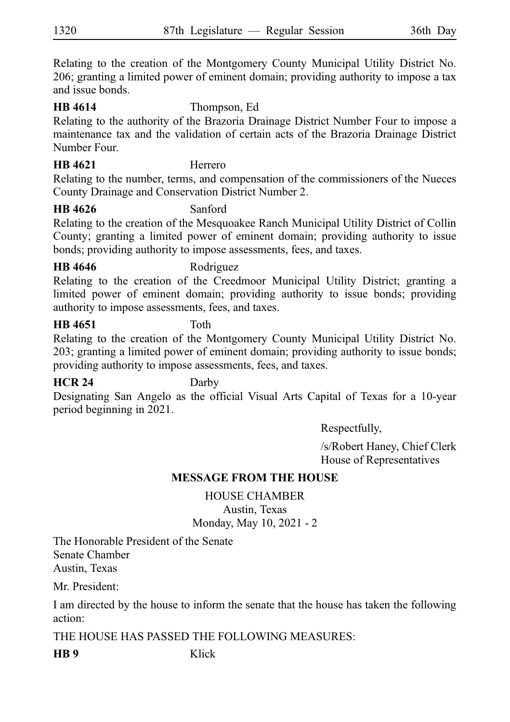Relating to the creation of the Montgomery County Municipal Utility District No. 206; granting a limited power of eminent domain; providing authority to impose a tax and issue bonds.

### **HB 4614** Thompson, Ed

Relating to the authority of the Brazoria Drainage District Number Four to impose a maintenance tax and the validation of certain acts of the Brazoria Drainage District Number Four.

### **HB 4621** Herrero

Relating to the number, terms, and compensation of the commissioners of the Nueces County Drainage and Conservation District Number 2.

### **HB 4626** Sanford

Relating to the creation of the Mesquoakee Ranch Municipal Utility District of Collin County; granting a limited power of eminent domain; providing authority to issue bonds; providing authority to impose assessments, fees, and taxes.

### **HB 4646** Rodriguez

Relating to the creation of the Creedmoor Municipal Utility District; granting a limited power of eminent domain; providing authority to issue bonds; providing authority to impose assessments, fees, and taxes.

### **HB 4651** Toth

Relating to the creation of the Montgomery County Municipal Utility District No. 203; granting a limited power of eminent domain; providing authority to issue bonds; providing authority to impose assessments, fees, and taxes.

### **HCR 24** Darby

Designating San Angelo as the official Visual Arts Capital of Texas for a 10-year period beginning in 2021.

Respectfully,

/s/Robert Haney, Chief Clerk House of Representatives

# **MESSAGE FROM THE HOUSE**

HOUSE CHAMBER Austin, Texas Monday, May 10, 2021 - 2

The Honorable President of the Senate Senate Chamber Austin, Texas

Mr. President:

I am directed by the house to inform the senate that the house has taken the following action:

THE HOUSE HAS PASSED THE FOLLOWING MEASURES:

**HB 9** Klick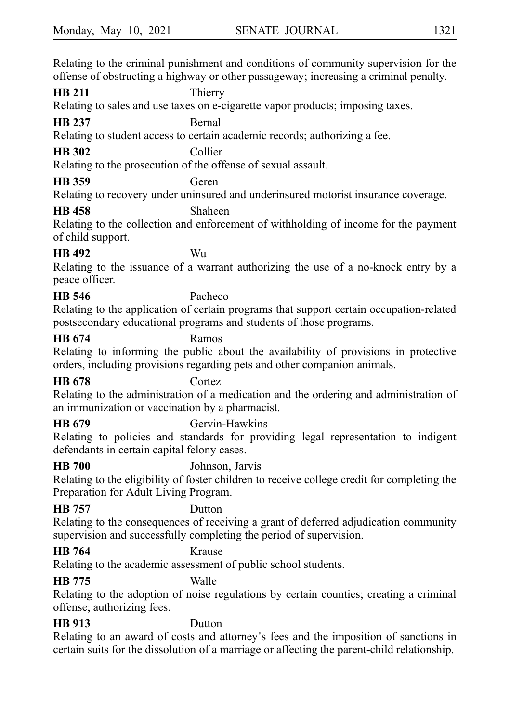Relating to the criminal punishment and conditions of community supervision for the offense of obstructing a highway or other passageway; increasing a criminal penalty.

**HB 211** Thierry

Relating to sales and use taxes on e-cigarette vapor products; imposing taxes.

**HB 237** Bernal

Relating to student access to certain academic records; authorizing a fee.

# **HB 302** Collier

Relating to the prosecution of the offense of sexual assault.

**HB 359** Geren

Relating to recovery under uninsured and underinsured motorist insurance coverage.

# **HB 458** Shaheen

Relating to the collection and enforcement of withholding of income for the payment of child support.

# **HB 492** Wu

Relating to the issuance of a warrant authorizing the use of a no-knock entry by a peace officer.

# **HB 546** Pacheco

Relating to the application of certain programs that support certain occupation-related postsecondary educational programs and students of those programs.

# **HB 674** Ramos

Relating to informing the public about the availability of provisions in protective orders, including provisions regarding pets and other companion animals.

# **HB 678** Cortez

Relating to the administration of a medication and the ordering and administration of an immunization or vaccination by a pharmacist.

**HB 679** Gervin-Hawkins

Relating to policies and standards for providing legal representation to indigent defendants in certain capital felony cases.

# **HB 700** Johnson, Jarvis

Relating to the eligibility of foster children to receive college credit for completing the Preparation for Adult Living Program.

# **HB 757** Dutton

Relating to the consequences of receiving a grant of deferred adjudication community supervision and successfully completing the period of supervision.

# **HB 764** Krause

Relating to the academic assessment of public school students.

# **HB 775** Walle

Relating to the adoption of noise regulations by certain counties; creating a criminal offense; authorizing fees.

# **HB 913** Dutton

Relating to an award of costs and attorney's fees and the imposition of sanctions in certain suits for the dissolution of a marriage or affecting the parent-child relationship.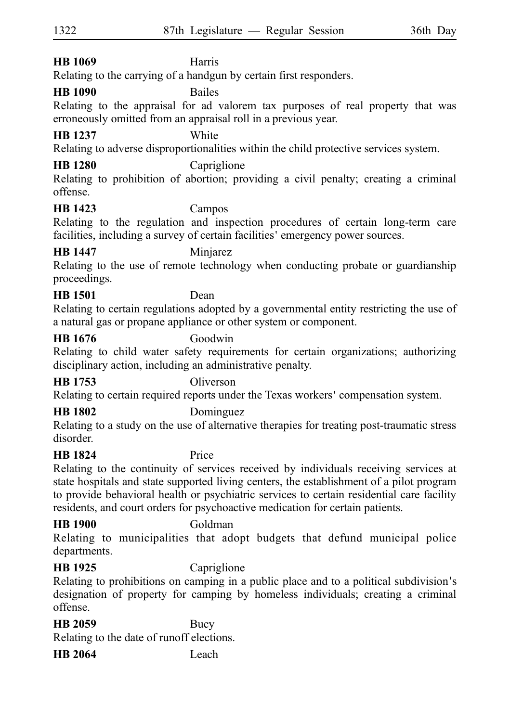# **HB 1069** Harris

Relating to the carrying of a handgun by certain first responders.

# **HB 1090** Bailes

Relating to the appraisal for ad valorem tax purposes of real property that was erroneously omitted from an appraisal roll in a previous year.

# **HB 1237** White

Relating to adverse disproportionalities within the child protective services system.

# **HB 1280** Capriglione

Relating to prohibition of abortion; providing a civil penalty; creating a criminal offense.

# **HB 1423** Campos

Relating to the regulation and inspection procedures of certain long-term care facilities, including a survey of certain facilities' emergency power sources.

### **HB 1447** Minjarez

Relating to the use of remote technology when conducting probate or guardianship proceedings.

# **HB 1501** Dean

Relating to certain regulations adopted by a governmental entity restricting the use of a natural gas or propane appliance or other system or component.

### **HB 1676** Goodwin

Relating to child water safety requirements for certain organizations; authorizing disciplinary action, including an administrative penalty.

# **HB 1753** Oliverson

Relating to certain required reports under the Texas workers 'compensation system.

# **HB 1802** Dominguez

Relating to a study on the use of alternative therapies for treating post-traumatic stress disorder.

# **HB 1824** Price

Relating to the continuity of services received by individuals receiving services at state hospitals and state supported living centers, the establishment of a pilot program to provide behavioral health or psychiatric services to certain residential care facility residents, and court orders for psychoactive medication for certain patients.

# **HB 1900** Goldman

Relating to municipalities that adopt budgets that defund municipal police departments.

# **HB 1925** Capriglione

Relating to prohibitions on camping in a public place and to a political subdivision's designation of property for camping by homeless individuals; creating a criminal offense.

### **HB 2059** Bucy

Relating to the date of runoff elections.

**HB 2064** Leach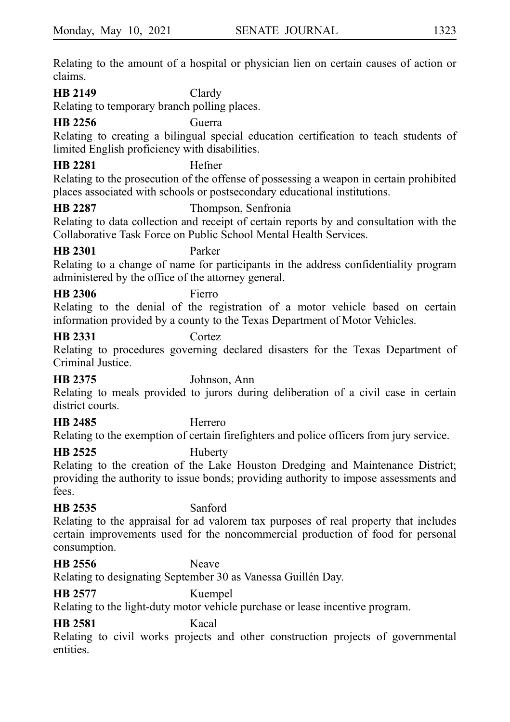Relating to the amount of a hospital or physician lien on certain causes of action or claims.

### **HB 2149** Clardy

Relating to temporary branch polling places.

# **HB 2256** Guerra

Relating to creating a bilingual special education certification to teach students of limited English proficiency with disabilities.

# **HB 2281** Hefner

Relating to the prosecution of the offense of possessing a weapon in certain prohibited places associated with schools or postsecondary educational institutions.

### **HB 2287** Thompson, Senfronia

Relating to data collection and receipt of certain reports by and consultation with the Collaborative Task Force on Public School Mental Health Services.

**HB 2301** Parker

Relating to a change of name for participants in the address confidentiality program administered by the office of the attorney general.

### **HB 2306** Fierro

Relating to the denial of the registration of a motor vehicle based on certain information provided by a county to the Texas Department of Motor Vehicles.

# **HB 2331** Cortez

Relating to procedures governing declared disasters for the Texas Department of Criminal Justice.

**HB 2375** Johnson, Ann

Relating to meals provided to jurors during deliberation of a civil case in certain district courts.

# **HB 2485** Herrero

Relating to the exemption of certain firefighters and police officers from jury service.

# **HB 2525** Huberty

Relating to the creation of the Lake Houston Dredging and Maintenance District; providing the authority to issue bonds; providing authority to impose assessments and fees.

# **HB 2535** Sanford

Relating to the appraisal for ad valorem tax purposes of real property that includes certain improvements used for the noncommercial production of food for personal consumption.

### **HB 2556** Neave

Relating to designating September 30 as Vanessa Guillén Day.

# **HB 2577** Kuempel

Relating to the light-duty motor vehicle purchase or lease incentive program.

# **HB 2581** Kacal

Relating to civil works projects and other construction projects of governmental entities.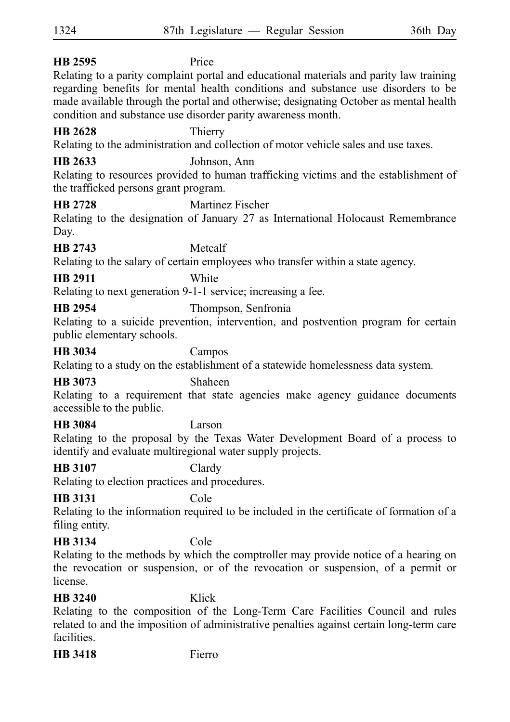| HB 2595                                                                                                                                     | Price                                                                                                                                                                                                                                                                                                                                 |  |
|---------------------------------------------------------------------------------------------------------------------------------------------|---------------------------------------------------------------------------------------------------------------------------------------------------------------------------------------------------------------------------------------------------------------------------------------------------------------------------------------|--|
|                                                                                                                                             | Relating to a parity complaint portal and educational materials and parity law training<br>regarding benefits for mental health conditions and substance use disorders to be<br>made available through the portal and otherwise; designating October as mental health<br>condition and substance use disorder parity awareness month. |  |
| <b>HB 2628</b>                                                                                                                              | Thierry                                                                                                                                                                                                                                                                                                                               |  |
|                                                                                                                                             | Relating to the administration and collection of motor vehicle sales and use taxes.                                                                                                                                                                                                                                                   |  |
| HB 2633<br>the trafficked persons grant program.                                                                                            | Johnson, Ann<br>Relating to resources provided to human trafficking victims and the establishment of                                                                                                                                                                                                                                  |  |
| <b>HB 2728</b>                                                                                                                              | Martinez Fischer                                                                                                                                                                                                                                                                                                                      |  |
| Day.                                                                                                                                        | Relating to the designation of January 27 as International Holocaust Remembrance                                                                                                                                                                                                                                                      |  |
| <b>HB 2743</b>                                                                                                                              | Metcalf                                                                                                                                                                                                                                                                                                                               |  |
|                                                                                                                                             | Relating to the salary of certain employees who transfer within a state agency.                                                                                                                                                                                                                                                       |  |
| <b>HR 2911</b>                                                                                                                              | White                                                                                                                                                                                                                                                                                                                                 |  |
|                                                                                                                                             | Relating to next generation 9-1-1 service; increasing a fee.                                                                                                                                                                                                                                                                          |  |
| <b>HB 2954</b>                                                                                                                              | Thompson, Senfronia                                                                                                                                                                                                                                                                                                                   |  |
| public elementary schools.                                                                                                                  | Relating to a suicide prevention, intervention, and postvention program for certain                                                                                                                                                                                                                                                   |  |
| <b>HB</b> 3034                                                                                                                              | Campos                                                                                                                                                                                                                                                                                                                                |  |
|                                                                                                                                             | Relating to a study on the establishment of a statewide homelessness data system.                                                                                                                                                                                                                                                     |  |
| <b>HB</b> 3073                                                                                                                              | Shaheen                                                                                                                                                                                                                                                                                                                               |  |
| accessible to the public.                                                                                                                   | Relating to a requirement that state agencies make agency guidance documents                                                                                                                                                                                                                                                          |  |
| <b>HB 3084</b>                                                                                                                              | Larson                                                                                                                                                                                                                                                                                                                                |  |
| Relating to the proposal by the Texas Water Development Board of a process to<br>identify and evaluate multiregional water supply projects. |                                                                                                                                                                                                                                                                                                                                       |  |
| <b>HB 3107</b>                                                                                                                              | Clardy                                                                                                                                                                                                                                                                                                                                |  |
| Relating to election practices and procedures.                                                                                              |                                                                                                                                                                                                                                                                                                                                       |  |
| <b>HB 3131</b>                                                                                                                              | Cole                                                                                                                                                                                                                                                                                                                                  |  |
| filing entity.                                                                                                                              | Relating to the information required to be included in the certificate of formation of a                                                                                                                                                                                                                                              |  |
| <b>HB</b> 3134                                                                                                                              | Cole                                                                                                                                                                                                                                                                                                                                  |  |
| license.                                                                                                                                    | Relating to the methods by which the comptroller may provide notice of a hearing on<br>the revocation or suspension, or of the revocation or suspension, of a permit or                                                                                                                                                               |  |
| <b>HR 3240</b>                                                                                                                              | Klick                                                                                                                                                                                                                                                                                                                                 |  |
| facilities.                                                                                                                                 | Relating to the composition of the Long-Term Care Facilities Council and rules<br>related to and the imposition of administrative penalties against certain long-term care                                                                                                                                                            |  |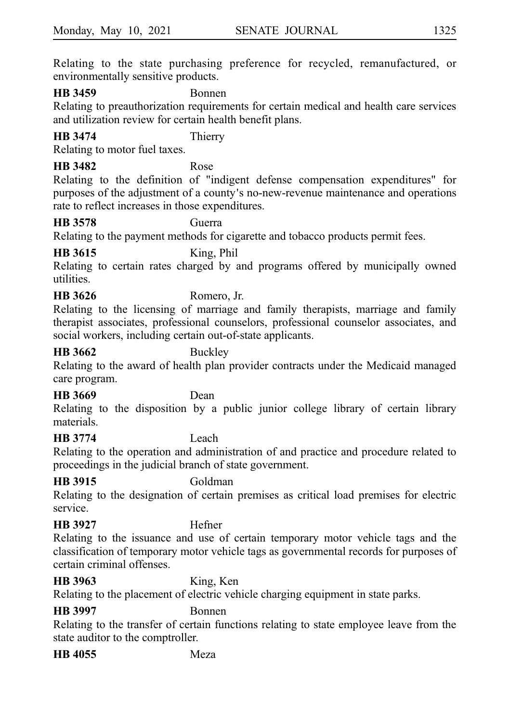Relating to the state purchasing preference for recycled, remanufactured, or environmentally sensitive products.

### **HB 3459** Bonnen

Relating to preauthorization requirements for certain medical and health care services and utilization review for certain health benefit plans.

# **HB 3474** Thierry

Relating to motor fuel taxes.

# **HB 3482** Rose

Relating to the definition of "indigent defense compensation expenditures" for purposes of the adjustment of a county's no-new-revenue maintenance and operations rate to reflect increases in those expenditures.

### **HB 3578** Guerra

Relating to the payment methods for cigarette and tobacco products permit fees.

# **HB 3615** King, Phil

Relating to certain rates charged by and programs offered by municipally owned utilities.

# **HB 3626** Romero, Jr.

Relating to the licensing of marriage and family therapists, marriage and family therapist associates, professional counselors, professional counselor associates, and social workers, including certain out-of-state applicants.

### **HB 3662** Buckley

Relating to the award of health plan provider contracts under the Medicaid managed care program.

# **HB 3669** Dean

Relating to the disposition by a public junior college library of certain library materials.

# **HB 3774** Leach

Relating to the operation and administration of and practice and procedure related to proceedings in the judicial branch of state government.

# **HB 3915** Goldman

Relating to the designation of certain premises as critical load premises for electric service.

# **HB 3927** Hefner

Relating to the issuance and use of certain temporary motor vehicle tags and the classification of temporary motor vehicle tags as governmental records for purposes of certain criminal offenses.

# **HB 3963** King, Ken

Relating to the placement of electric vehicle charging equipment in state parks.

**HB 3997** Bonnen

Relating to the transfer of certain functions relating to state employee leave from the state auditor to the comptroller.

**HB 4055** Meza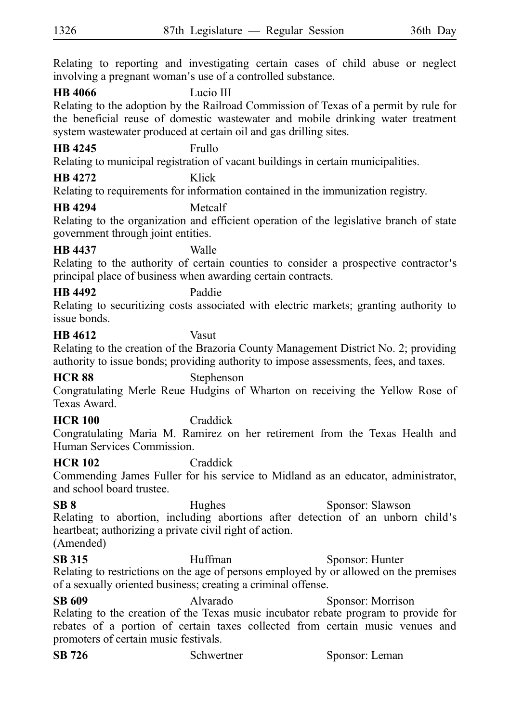Relating to reporting and investigating certain cases of child abuse or neglect involving a pregnant woman's use of a controlled substance.

### **HB 4066** Lucio III

Relating to the adoption by the Railroad Commission of Texas of a permit by rule for the beneficial reuse of domestic wastewater and mobile drinking water treatment system wastewater produced at certain oil and gas drilling sites.

### **HB 4245** Frullo

Relating to municipal registration of vacant buildings in certain municipalities.

# **HB 4272** Klick

Relating to requirements for information contained in the immunization registry.

# **HB 4294** Metcalf

Relating to the organization and efficient operation of the legislative branch of state government through joint entities.

### **HB 4437** Walle

Relating to the authority of certain counties to consider a prospective contractor's principal place of business when awarding certain contracts.

# **HB 4492** Paddie

Relating to securitizing costs associated with electric markets; granting authority to issue bonds.

### **HB 4612** Vasut

Relating to the creation of the Brazoria County Management District No. 2; providing authority to issue bonds; providing authority to impose assessments, fees, and taxes.

**HCR 88** Stephenson

Congratulating Merle Reue Hudgins of Wharton on receiving the Yellow Rose of Texas Award.

# **HCR 100** Craddick

Congratulating Maria M. Ramirez on her retirement from the Texas Health and Human Services Commission.

# **HCR 102** Craddick

Commending James Fuller for his service to Midland as an educator, administrator, and school board trustee.

**SB 8** Hughes Sponsor: Slawson Relating to abortion, including abortions after detection of an unborn child's heartbeat; authorizing a private civil right of action. (Amended)

**SB 315** Huffman Sponsor: Hunter Relating to restrictions on the age of persons employed by or allowed on the premises of a sexually oriented business; creating a criminal offense.

**SB 609** Alvarado Sponsor: Morrison Relating to the creation of the Texas music incubator rebate program to provide for rebates of a portion of certain taxes collected from certain music venues and promoters of certain music festivals.

| <b>SB</b> 726<br>Schwertner | Sponsor: Leman |
|-----------------------------|----------------|
|-----------------------------|----------------|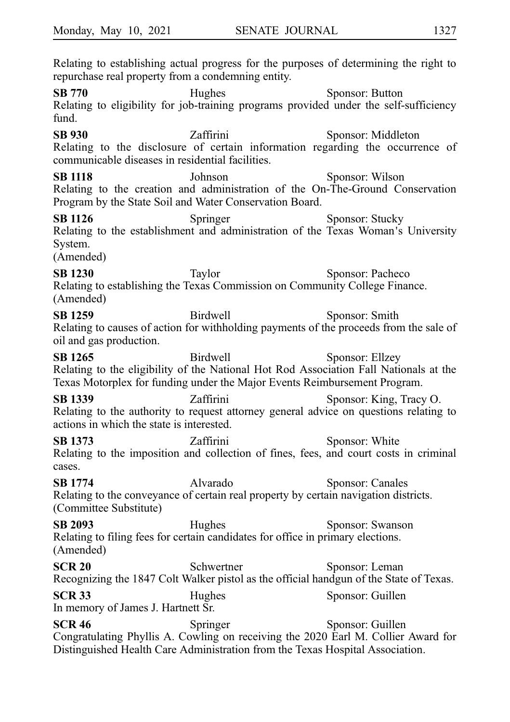Relating to establishing actual progress for the purposes of determining the right to repurchase real property from a condemning entity.

**SB 770** Hughes Sponsor: Button Relating to eligibility for job-training programs provided under the self-sufficiency fund.

**SB 930** Zaffirini Sponsor: Middleton Relating to the disclosure of certain information regarding the occurrence of communicable diseases in residential facilities.

**SB 1118** Johnson Sponsor: Wilson Relating to the creation and administration of the On-The-Ground Conservation Program by the State Soil and Water Conservation Board.

**SB 1126** Springer Sponsor: Stucky Relating to the establishment and administration of the Texas Woman's University System.

(Amended)

**SB 1230** Taylor Sponsor: Pacheco Relating to establishing the Texas Commission on Community College Finance. (Amended)

**SB 1259** Birdwell Sponsor: Smith Relating to causes of action for withholding payments of the proceeds from the sale of oil and gas production.

**SB 1265** Birdwell Sponsor: Ellzey Relating to the eligibility of the National Hot Rod Association Fall Nationals at the Texas Motorplex for funding under the Major Events Reimbursement Program.

**SB 1339** Zaffirini Sponsor: King, Tracy O. Relating to the authority to request attorney general advice on questions relating to actions in which the state is interested.

**SB 1373 Zaffirini** Sponsor: White Relating to the imposition and collection of fines, fees, and court costs in criminal cases.

**SB 1774** Alvarado Alvarado Sponsor: Canales Relating to the conveyance of certain real property by certain navigation districts. (Committee Substitute)

**SB 2093** Hughes Sponsor: Swanson Relating to filing fees for certain candidates for office in primary elections. (Amended)

**SCR 20** Schwertner Sponsor: Leman Recognizing the 1847 Colt Walker pistol as the official handgun of the State of Texas. **SCR 33** Hughes Sponsor: Guillen In memory of James J. Hartnett Sr.

**SCR 46** Springer Sponsor: Guillen Congratulating Phyllis A. Cowling on receiving the 2020 Earl M. Collier Award for Distinguished Health Care Administration from the Texas Hospital Association.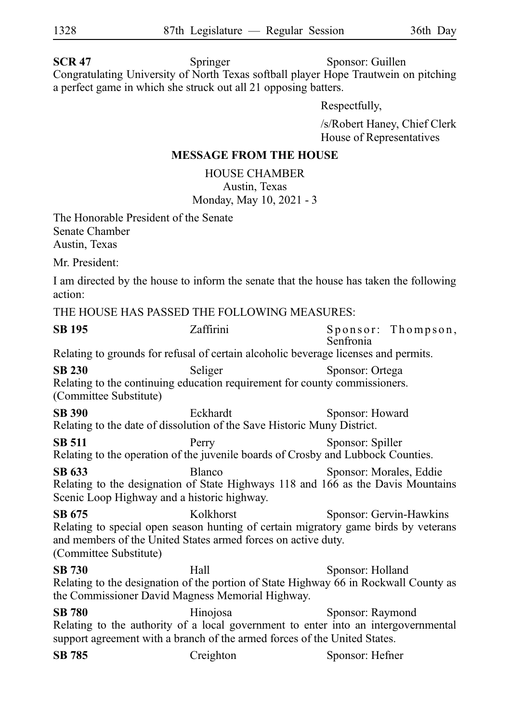**SCR 47** Springer Sponsor: Guillen Congratulating University of North Texas softball player Hope Trautwein on pitching a perfect game in which she struck out all 21 opposing batters.

Respectfully,

/s/Robert Haney, Chief Clerk House of Representatives

### **MESSAGE FROM THE HOUSE**

HOUSE CHAMBER Austin, Texas Monday, May 10, 2021 - 3

The Honorable President of the Senate Senate Chamber Austin, Texas

Mr. President:

I am directed by the house to inform the senate that the house has taken the following action:

THE HOUSE HAS PASSED THE FOLLOWING MEASURES:

**SB 195** Zaffirmi Sponsor: Thompson, Senfronia Relating to grounds for refusal of certain alcoholic beverage licenses and permits. **SB 230** Seliger Sponsor: Ortega Relating to the continuing education requirement for county commissioners. (Committee Substitute) SB 390 Eckhardt Sponsor: Howard Relating to the date of dissolution of the Save Historic Muny District. **SB 511** Perry Sponsor: Spiller Relating to the operation of the juvenile boards of Crosby and Lubbock Counties. **SB 633** Blanco Sponsor: Morales, Eddie Relating to the designation of State Highways 118 and 166 as the Davis Mountains Scenic Loop Highway and a historic highway. **SB 675** Kolkhorst Sponsor: Gervin-Hawkins Relating to special open season hunting of certain migratory game birds by veterans and members of the United States armed forces on active duty. (Committee Substitute) **SB 730** Hall Sponsor: Holland Relating to the designation of the portion of State Highway 66 in Rockwall County as the Commissioner David Magness Memorial Highway. **SB 780** Hinojosa Sponsor: Raymond Relating to the authority of a local government to enter into an intergovernmental support agreement with a branch of the armed forces of the United States. **SB 785** Creighton Sponsor: Hefner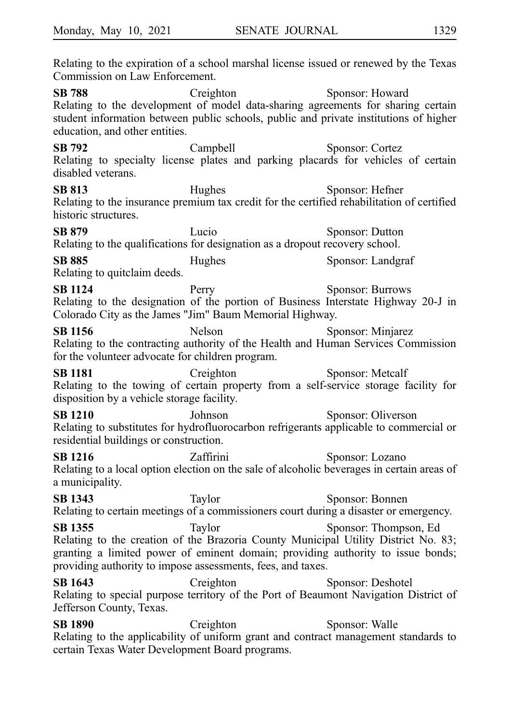Relating to the expiration of a school marshal license issued or renewed by the Texas Commission on Law Enforcement. **SB 788** Creighton Sponsor: Howard Relating to the development of model data-sharing agreements for sharing certain student information between public schools, public and private institutions of higher education, and other entities. **SB 792** Campbell Sponsor: Cortez Relating to specialty license plates and parking placards for vehicles of certain disabled veterans. **SB 813** Hughes Sponsor: Hefner Relating to the insurance premium tax credit for the certified rehabilitation of certified historic structures. **SB 879** Lucio Sponsor: Dutton Relating to the qualifications for designation as a dropout recovery school. **SB 885** Hughes Sponsor: Landgraf Relating to quitclaim deeds. **SB 1124** Perry Sponsor: Burrows Relating to the designation of the portion of Business Interstate Highway 20-J in Colorado City as the James "Jim" Baum Memorial Highway. **SB 1156** Nelson Sponsor: Minjarez Relating to the contracting authority of the Health and Human Services Commission for the volunteer advocate for children program. **SB 1181** Creighton Sponsor: Metcalf Relating to the towing of certain property from a self-service storage facility for disposition by a vehicle storage facility. **SB 1210** Johnson Sponsor: Oliverson Relating to substitutes for hydrofluorocarbon refrigerants applicable to commercial or residential buildings or construction. **SB 1216** Zaffirini Sponsor: Lozano Relating to a local option election on the sale of alcoholic beverages in certain areas of a municipality. **SB 1343** Taylor Sponsor: Bonnen Relating to certain meetings of a commissioners court during a disaster or emergency. **SB 1355** Taylor Sponsor: Thompson, Ed Relating to the creation of the Brazoria County Municipal Utility District No. 83; granting a limited power of eminent domain; providing authority to issue bonds; providing authority to impose assessments, fees, and taxes. **SB 1643** Creighton Sponsor: Deshotel Relating to special purpose territory of the Port of Beaumont Navigation District of Jefferson County, Texas. **SB 1890** Creighton Sponsor: Walle Relating to the applicability of uniform grant and contract management standards to certain Texas Water Development Board programs.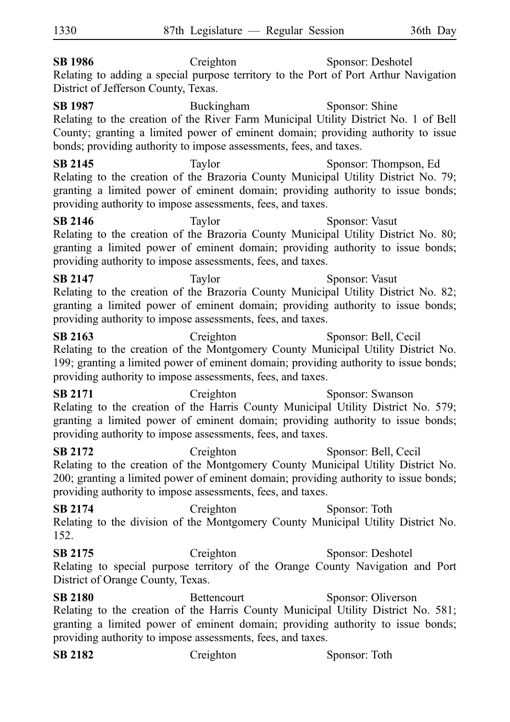**SB 1986** Creighton Sponsor: Deshotel Relating to adding a special purpose territory to the Port of Port Arthur Navigation District of Jefferson County, Texas. **SB 1987** Buckingham Sponsor: Shine Relating to the creation of the River Farm Municipal Utility District No. 1 of Bell County; granting a limited power of eminent domain; providing authority to issue bonds; providing authority to impose assessments, fees, and taxes. **SB 2145** Taylor Taylor Sponsor: Thompson, Ed Relating to the creation of the Brazoria County Municipal Utility District No. 79; granting a limited power of eminent domain; providing authority to issue bonds; providing authority to impose assessments, fees, and taxes. **SB 2146** Taylor Sponsor: Vasut Relating to the creation of the Brazoria County Municipal Utility District No. 80; granting a limited power of eminent domain; providing authority to issue bonds; providing authority to impose assessments, fees, and taxes. **SB 2147** Taylor Sponsor: Vasut Relating to the creation of the Brazoria County Municipal Utility District No. 82; granting a limited power of eminent domain; providing authority to issue bonds; providing authority to impose assessments, fees, and taxes. **SB 2163** Creighton Sponsor: Bell, Cecil Relating to the creation of the Montgomery County Municipal Utility District No. 199; granting a limited power of eminent domain; providing authority to issue bonds; providing authority to impose assessments, fees, and taxes. SB 2171 Creighton Sponsor: Swanson Relating to the creation of the Harris County Municipal Utility District No. 579; granting a limited power of eminent domain; providing authority to issue bonds; providing authority to impose assessments, fees, and taxes. **SB 2172** Creighton Sponsor: Bell, Cecil 1330 87th Legislature — Regular Session 36th Day

Relating to the creation of the Montgomery County Municipal Utility District No. 200; granting a limited power of eminent domain; providing authority to issue bonds; providing authority to impose assessments, fees, and taxes.

**SB 2174** Creighton Sponsor: Toth Relating to the division of the Montgomery County Municipal Utility District No. 152.

**SB 2175** Creighton Sponsor: Deshotel Relating to special purpose territory of the Orange County Navigation and Port District of Orange County, Texas.

**SB 2180** Bettencourt Sponsor: Oliverson Relating to the creation of the Harris County Municipal Utility District No. 581; granting a limited power of eminent domain; providing authority to issue bonds; providing authority to impose assessments, fees, and taxes.

| <b>SB 2182</b> | Creighton | Sponsor: Toth |
|----------------|-----------|---------------|
|----------------|-----------|---------------|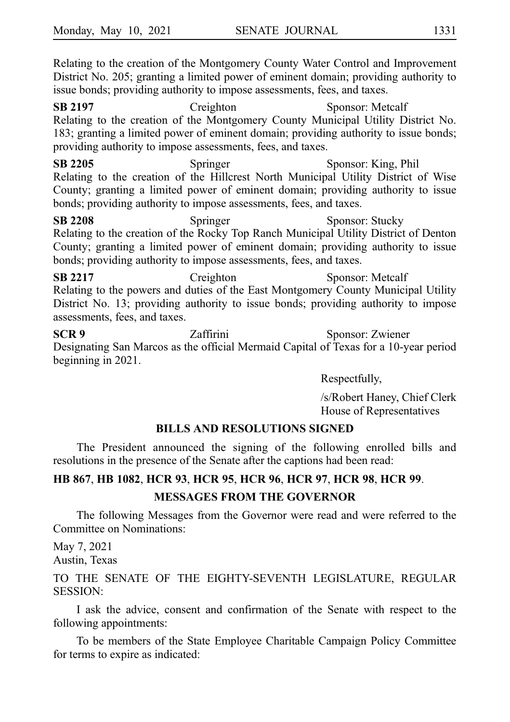Relating to the creation of the Montgomery County Water Control and Improvement District No. 205; granting a limited power of eminent domain; providing authority to issue bonds; providing authority to impose assessments, fees, and taxes.

**SB 2197** Creighton Sponsor: Metcalf Relating to the creation of the Montgomery County Municipal Utility District No. 183; granting a limited power of eminent domain; providing authority to issue bonds; providing authority to impose assessments, fees, and taxes.

**SB 2205** Springer Sponsor: King, Phil Relating to the creation of the Hillcrest North Municipal Utility District of Wise County; granting a limited power of eminent domain; providing authority to issue bonds; providing authority to impose assessments, fees, and taxes.

**SB 2208** Springer Sponsor: Stucky Relating to the creation of the Rocky Top Ranch Municipal Utility District of Denton County; granting a limited power of eminent domain; providing authority to issue bonds; providing authority to impose assessments, fees, and taxes.

**SB 2217** Creighton Sponsor: Metcalf Relating to the powers and duties of the East Montgomery County Municipal Utility District No. 13; providing authority to issue bonds; providing authority to impose assessments, fees, and taxes.

**SCR 9** Zaffirini Sponsor: Zwiener Designating San Marcos as the official Mermaid Capital of Texas for a 10-year period beginning in 2021.

Respectfully,

/s/Robert Haney, Chief Clerk House of Representatives

### **BILLS AND RESOLUTIONS SIGNED**

The President announced the signing of the following enrolled bills and resolutions in the presence of the Senate after the captions had been read:

# **HB**i**867**, **HB**i**1082**, **HCR**i**93**, **HCR**i**95**, **HCR**i**96**, **HCR**i**97**, **HCR**i**98**, **HCR**i**99**. **MESSAGES FROM THE GOVERNOR**

The following Messages from the Governor were read and were referred to the Committee on Nominations:

May 7, 2021 Austin, Texas

TO THE SENATE OF THE EIGHTY-SEVENTH LEGISLATURE, REGULAR SESSION:

I ask the advice, consent and confirmation of the Senate with respect to the following appointments:

To be members of the State Employee Charitable Campaign Policy Committee for terms to expire as indicated: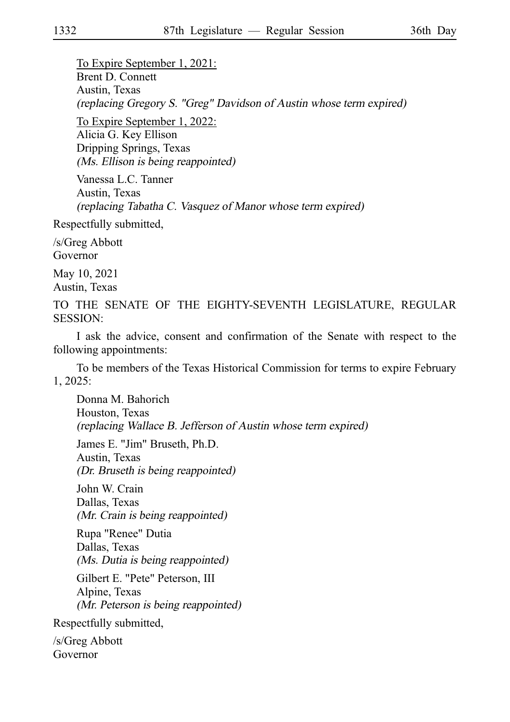To Expire September 1, 2021: Brent D. Connett Austin, Texas (replacing Gregory S. "Greg" Davidson of Austin whose term expired)

To Expire September 1, 2022: Alicia G. Key Ellison Dripping Springs, Texas (Ms. Ellison is being reappointed)

Vanessa L.C. Tanner Austin, Texas (replacing Tabatha C. Vasquez of Manor whose term expired)

Respectfully submitted,

/s/Greg Abbott Governor

May 10, 2021 Austin, Texas

TO THE SENATE OF THE EIGHTY-SEVENTH LEGISLATURE, REGULAR SESSION:

I ask the advice, consent and confirmation of the Senate with respect to the following appointments:

To be members of the Texas Historical Commission for terms to expire February 1, 2025:

Donna M. Bahorich Houston, Texas (replacing Wallace B. Jefferson of Austin whose term expired) James E. "Jim" Bruseth, Ph.D. Austin, Texas (Dr. Bruseth is being reappointed) John W. Crain Dallas, Texas (Mr. Crain is being reappointed) Rupa "Renee" Dutia Dallas, Texas (Ms. Dutia is being reappointed) Gilbert E. "Pete" Peterson, III Alpine, Texas (Mr. Peterson is being reappointed) Respectfully submitted,

/s/Greg Abbott Governor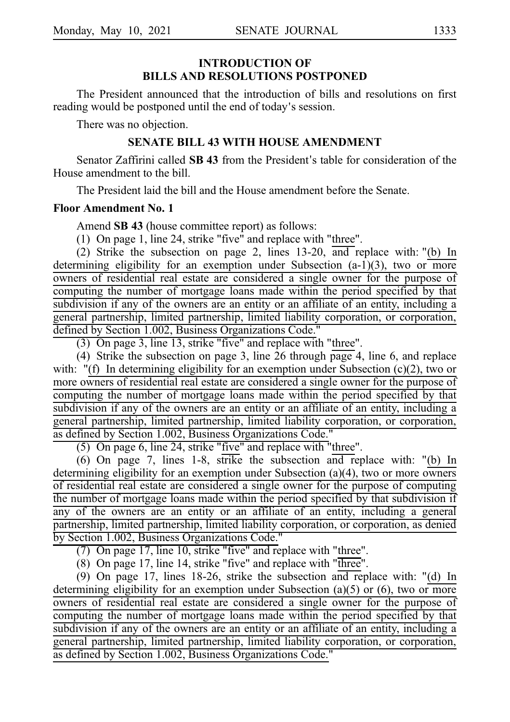### **INTRODUCTION OF BILLS AND RESOLUTIONS POSTPONED**

The President announced that the introduction of bills and resolutions on first reading would be postponed until the end of today's session.

There was no objection.

### **SENATE BILL 43 WITH HOUSE AMENDMENT**

Senator Zaffirini called **SB 43** from the President's table for consideration of the House amendment to the bill.

The President laid the bill and the House amendment before the Senate.

### **Floor Amendment No. 1**

Amend **SB 43** (house committee report) as follows:

(1) On page 1, line 24, strike "five" and replace with "three".

(2) Strike the subsection on page 2, lines  $13-20$ ,  $\overline{and}$  replace with: "(b) In determining eligibility for an exemption under Subsection  $(a-1)(3)$ , two or more owners of residential real estate are considered a single owner for the purpose of computing the number of mortgage loans made within the period specified by that subdivision if any of the owners are an entity or an affiliate of an entity, including a general partnership, limited partnership, limited liability corporation, or corporation, defined by Section 1.002, Business Organizations Code."

 $(3)$  On page 3, line 13, strike "five" and replace with "three".

(4) Strike the subsection on page 3, line 26 through page 4, line 6, and replace with:  $"$ (f) In determining eligibility for an exemption under Subsection (c)(2), two or more owners of residential real estate are considered a single owner for the purpose of computing the number of mortgage loans made within the period specified by that subdivision if any of the owners are an entity or an affiliate of an entity, including a general partnership, limited partnership, limited liability corporation, or corporation, as defined by Section 1.002, Business Organizations Code."

 $(5)$  On page 6, line 24, strike "five" and replace with "three".

(6) On page 7, lines 1-8, strike the subsection and replace with: "(b) In determining eligibility for an exemption under Subsection (a)(4), two or more owners of residential real estate are considered a single owner for the purpose of computing the number of mortgage loans made within the period specified by that subdivision if any of the owners are an entity or an affiliate of an entity, including a general partnership, limited partnership, limited liability corporation, or corporation, as denied by Section 1.002, Business Organizations Code."

(7) On page 17, line 10, strike "five" and replace with "three".

 $(8)$  On page 17, line 14, strike "five" and replace with "three".

(9) On page 17, lines 18-26, strike the subsection and replace with: "(d) In determining eligibility for an exemption under Subsection (a)(5) or (6), two or more owners of residential real estate are considered a single owner for the purpose of computing the number of mortgage loans made within the period specified by that subdivision if any of the owners are an entity or an affiliate of an entity, including a general partnership, limited partnership, limited liability corporation, or corporation, as defined by Section 1.002, Business Organizations Code."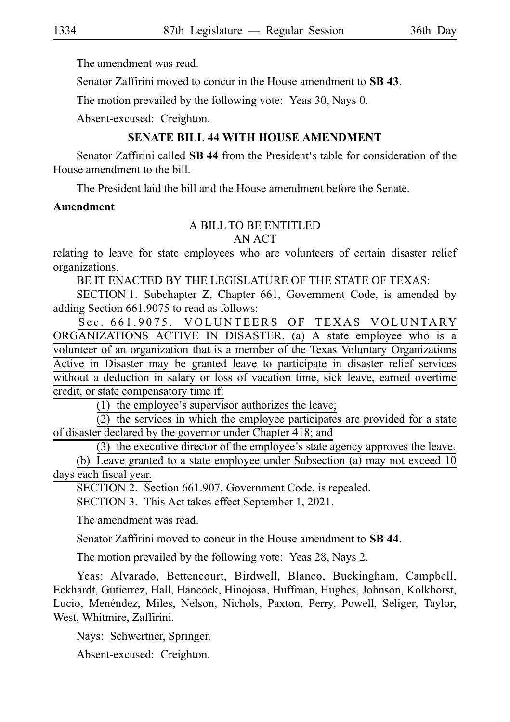The amendment was read.

Senator Zaffirini moved to concur in the House amendment to **SBi43**.

The motion prevailed by the following vote: Yeas 30, Nays 0.

Absent-excused: Creighton.

# **SENATE BILL 44 WITH HOUSE AMENDMENT**

Senator Zaffirini called **SB 44** from the President's table for consideration of the House amendment to the bill.

The President laid the bill and the House amendment before the Senate.

### **Amendment**

### A BILL TO BE ENTITLED

AN ACT

relating to leave for state employees who are volunteers of certain disaster relief organizations.

BE IT ENACTED BY THE LEGISLATURE OF THE STATE OF TEXAS:

SECTION 1. Subchapter Z, Chapter 661, Government Code, is amended by adding Section 661.9075 to read as follows:

Sec. 661.9075. VOLUNTEERS OF TEXAS VOLUNTARY ORGANIZATIONS ACTIVE IN DISASTER. (a) A state employee who is a volunteer of an organization that is a member of the Texas Voluntary Organizations Active in Disaster may be granted leave to participate in disaster relief services without a deduction in salary or loss of vacation time, sick leave, earned overtime credit, or state compensatory time if:

(1) the employee's supervisor authorizes the leave;

 $(2)$  the services in which the employee participates are provided for a state of disaster declared by the governor under Chapter 418; and

 $(3)$  the executive director of the employee's state agency approves the leave.

(b) Leave granted to a state employee under Subsection (a) may not exceed  $10$ days each fiscal year.

SECTION 2. Section 661.907, Government Code, is repealed.

SECTION 3. This Act takes effect September 1, 2021.

The amendment was read.

Senator Zaffirini moved to concur in the House amendment to **SBi44**.

The motion prevailed by the following vote: Yeas 28, Nays 2.

Yeas: Alvarado, Bettencourt, Birdwell, Blanco, Buckingham, Campbell, Eckhardt, Gutierrez, Hall, Hancock, Hinojosa, Huffman, Hughes, Johnson, Kolkhorst, Lucio, Menéndez, Miles, Nelson, Nichols, Paxton, Perry, Powell, Seliger, Taylor, West, Whitmire, Zaffirini.

Nays: Schwertner, Springer.

Absent-excused: Creighton.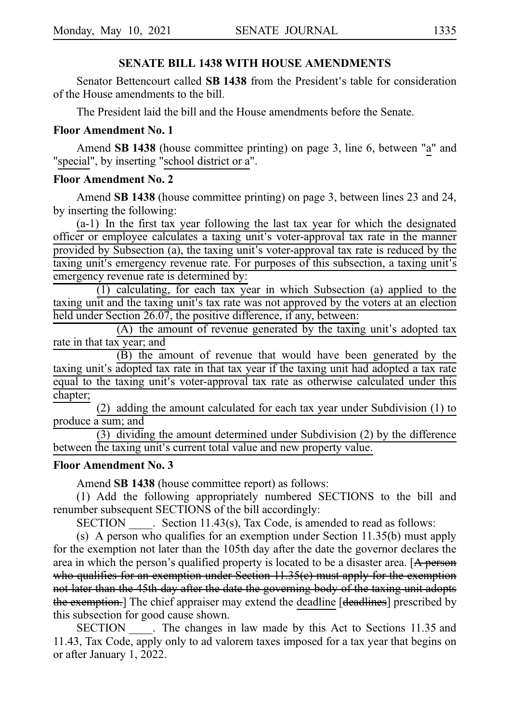### **SENATE BILL 1438 WITH HOUSE AMENDMENTS**

Senator Bettencourt called **SB 1438** from the President's table for consideration of the House amendments to the bill.

The President laid the bill and the House amendments before the Senate.

### **Floor Amendment No. 1**

Amend **SB 1438** (house committee printing) on page 3, line 6, between "a" and "special", by inserting "school district or a".

### **Floor Amendment No. 2**

Amend **SB 1438** (house committee printing) on page 3, between lines 23 and 24, by inserting the following:

 $(a-1)$  In the first tax year following the last tax year for which the designated officer or employee calculates a taxing unit's voter-approval tax rate in the manner provided by Subsection (a), the taxing unit's voter-approval tax rate is reduced by the taxing unit's emergency revenue rate. For purposes of this subsection, a taxing unit's emergency revenue rate is determined by:

 $(1)$  calculating, for each tax year in which Subsection (a) applied to the taxing unit and the taxing unit's tax rate was not approved by the voters at an election held under Section 26.07, the positive difference, if any, between:

 $(A)$  the amount of revenue generated by the taxing unit's adopted tax rate in that tax year; and

(B) the amount of revenue that would have been generated by the taxing unit's adopted tax rate in that tax year if the taxing unit had adopted a tax rate equal to the taxing unit's voter-approval tax rate as otherwise calculated under this chapter;

(2) adding the amount calculated for each tax year under Subdivision  $(1)$  to produce a sum; and

 $(3)$  dividing the amount determined under Subdivision  $(2)$  by the difference between the taxing unit's current total value and new property value.

### **Floor Amendment No. 3**

Amend **SB 1438** (house committee report) as follows:

(1) Add the following appropriately numbered SECTIONS to the bill and renumber subsequent SECTIONS of the bill accordingly:

SECTION  $\_\_\_\$ . Section 11.43(s), Tax Code, is amended to read as follows:

(s) A person who qualifies for an exemption under Section  $11.35(b)$  must apply for the exemption not later than the 105th day after the date the governor declares the area in which the person's qualified property is located to be a disaster area.  $[**A**$  person who qualifies for an exemption under Section 11.35(e) must apply for the exemption not later than the 45th day after the date the governing body of the taxing unit adopts the exemption.] The chief appraiser may extend the deadline [deadlines] prescribed by this subsection for good cause shown.

SECTION . The changes in law made by this Act to Sections 11.35 and 11.43, Tax Code, apply only to ad valorem taxes imposed for a tax year that begins on or after January 1, 2022.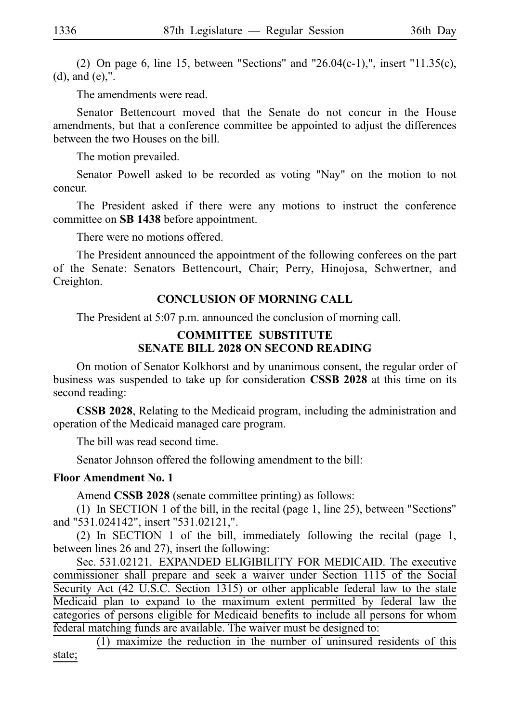(2) On page 6, line 15, between "Sections" and "26.04(c-1),", insert "11.35(c), (d), and (e),".

The amendments were read.

Senator Bettencourt moved that the Senate do not concur in the House amendments, but that a conference committee be appointed to adjust the differences between the two Houses on the bill.

The motion prevailed.

Senator Powell asked to be recorded as voting "Nay" on the motion to not concur.

The President asked if there were any motions to instruct the conference committee on **SBi1438** before appointment.

There were no motions offered.

The President announced the appointment of the following conferees on the part of the Senate: Senators Bettencourt, Chair; Perry, Hinojosa, Schwertner, and Creighton.

### **CONCLUSION OF MORNING CALL**

The President at 5:07 p.m. announced the conclusion of morning call.

### **COMMITTEE SUBSTITUTE SENATE BILL 2028 ON SECOND READING**

On motion of Senator Kolkhorst and by unanimous consent, the regular order of business was suspended to take up for consideration **CSSB 2028** at this time on its second reading:

**CSSB 2028**, Relating to the Medicaid program, including the administration and operation of the Medicaid managed care program.

The bill was read second time.

Senator Johnson offered the following amendment to the bill:

### **Floor Amendment No. 1**

Amend **CSSB 2028** (senate committee printing) as follows:

(1) In SECTION 1 of the bill, in the recital (page 1, line 25), between "Sections" and "531.024142", insert "531.02121,".

(2) In SECTION 1 of the bill, immediately following the recital (page 1, between lines 26 and 27), insert the following:

Sec. 531.02121. EXPANDED ELIGIBILITY FOR MEDICAID. The executive commissioner shall prepare and seek a waiver under Section 1115 of the Social Security Act (42 U.S.C. Section 1315) or other applicable federal law to the state Medicaid plan to expand to the maximum extent permitted by federal law the categories of persons eligible for Medicaid benefits to include all persons for whom federal matching funds are available. The waiver must be designed to:

 $(1)$  maximize the reduction in the number of uninsured residents of this state;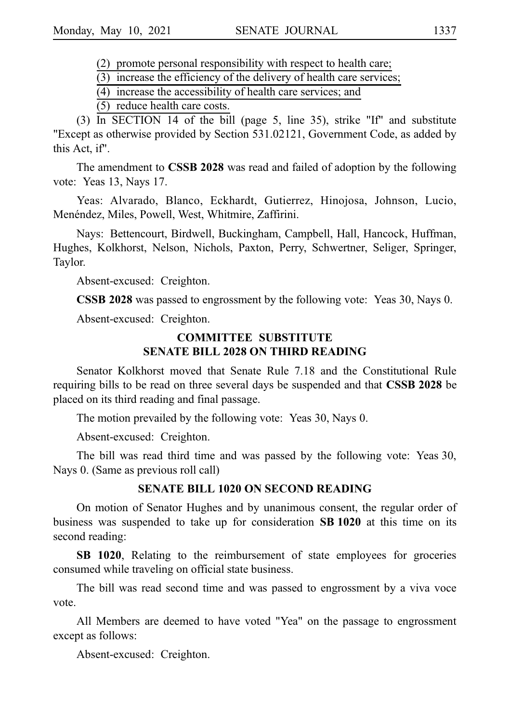$(2)$  promote personal responsibility with respect to health care;

 $(3)$  increase the efficiency of the delivery of health care services;

 $(4)$  increase the accessibility of health care services; and

(5) reduce health care costs.

(3) In SECTION 14 of the bill (page 5, line 35), strike "If" and substitute "Except as otherwise provided by Section 531.02121, Government Code, as added by this Act, if".

The amendment to **CSSB 2028** was read and failed of adoption by the following vote: Yeas 13, Nays 17.

Yeas: Alvarado, Blanco, Eckhardt, Gutierrez, Hinojosa, Johnson, Lucio, Menéndez, Miles, Powell, West, Whitmire, Zaffirini.

Nays: Bettencourt, Birdwell, Buckingham, Campbell, Hall, Hancock, Huffman, Hughes, Kolkhorst, Nelson, Nichols, Paxton, Perry, Schwertner, Seliger, Springer, Taylor.

Absent-excused: Creighton.

**CSSB 2028** was passed to engrossment by the following vote: Yeas 30, Nays 0.

Absent-excused: Creighton.

### **COMMITTEE SUBSTITUTE SENATE BILL 2028 ON THIRD READING**

Senator Kolkhorst moved that Senate Rule 7.18 and the Constitutional Rule requiring bills to be read on three several days be suspended and that **CSSB 2028** be placed on its third reading and final passage.

The motion prevailed by the following vote: Yeas 30, Nays 0.

Absent-excused: Creighton.

The bill was read third time and was passed by the following vote: Yeas 30, Nays 0. (Same as previous roll call)

### **SENATE BILL 1020 ON SECOND READING**

On motion of Senator Hughes and by unanimous consent, the regular order of business was suspended to take up for consideration **SBi1020** at this time on its second reading:

**SB 1020**, Relating to the reimbursement of state employees for groceries consumed while traveling on official state business.

The bill was read second time and was passed to engrossment by a viva voce vote.

All Members are deemed to have voted "Yea" on the passage to engrossment except as follows:

Absent-excused: Creighton.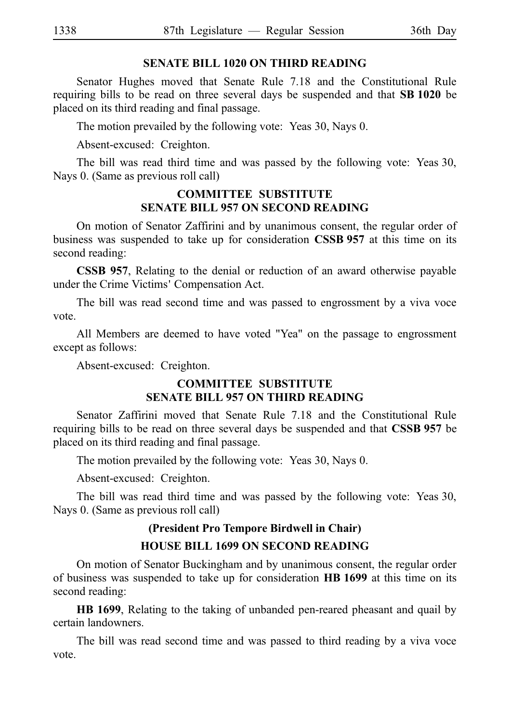### **SENATE BILL 1020 ON THIRD READING**

Senator Hughes moved that Senate Rule 7.18 and the Constitutional Rule requiring bills to be read on three several days be suspended and that **SBi1020** be placed on its third reading and final passage.

The motion prevailed by the following vote: Yeas 30, Nays 0.

Absent-excused: Creighton.

The bill was read third time and was passed by the following vote: Yeas 30, Nays 0. (Same as previous roll call)

### **COMMITTEE SUBSTITUTE SENATE BILL 957 ON SECOND READING**

On motion of Senator Zaffirini and by unanimous consent, the regular order of business was suspended to take up for consideration **CSSB 957** at this time on its second reading:

**CSSB 957**, Relating to the denial or reduction of an award otherwise payable under the Crime Victims' Compensation Act.

The bill was read second time and was passed to engrossment by a viva voce vote.

All Members are deemed to have voted "Yea" on the passage to engrossment except as follows:

Absent-excused: Creighton.

### **COMMITTEE SUBSTITUTE SENATE BILL 957 ON THIRD READING**

Senator Zaffirini moved that Senate Rule 7.18 and the Constitutional Rule requiring bills to be read on three several days be suspended and that **CSSB 957** be placed on its third reading and final passage.

The motion prevailed by the following vote: Yeas 30, Nays 0.

Absent-excused: Creighton.

The bill was read third time and was passed by the following vote: Yeas 30, Nays 0. (Same as previous roll call)

# **(President Pro Tempore Birdwell in Chair)**

# **HOUSE BILL 1699 ON SECOND READING**

On motion of Senator Buckingham and by unanimous consent, the regular order of business was suspended to take up for consideration **HBi1699** at this time on its second reading:

**HB 1699**, Relating to the taking of unbanded pen-reared pheasant and quail by certain landowners.

The bill was read second time and was passed to third reading by a viva voce vote.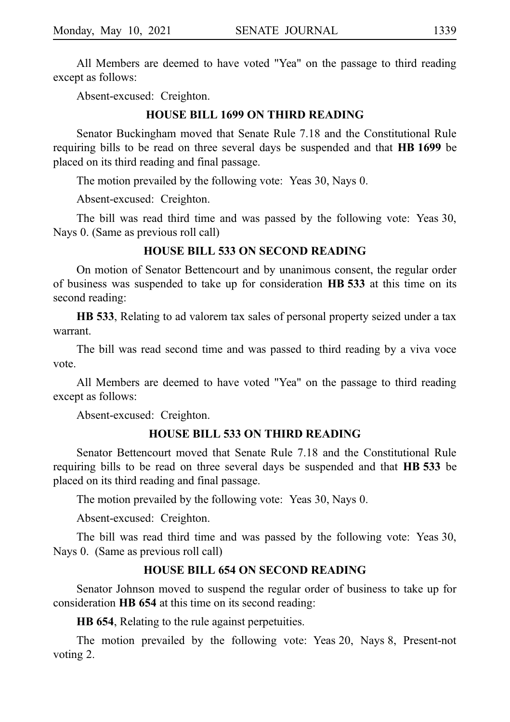All Members are deemed to have voted "Yea" on the passage to third reading except as follows:

Absent-excused: Creighton.

### **HOUSE BILL 1699 ON THIRD READING**

Senator Buckingham moved that Senate Rule 7.18 and the Constitutional Rule requiring bills to be read on three several days be suspended and that **HBi1699** be placed on its third reading and final passage.

The motion prevailed by the following vote: Yeas 30, Nays 0.

Absent-excused: Creighton.

The bill was read third time and was passed by the following vote: Yeas 30, Nays 0. (Same as previous roll call)

### **HOUSE BILL 533 ON SECOND READING**

On motion of Senator Bettencourt and by unanimous consent, the regular order of business was suspended to take up for consideration **HBi533** at this time on its second reading:

**HB 533**, Relating to ad valorem tax sales of personal property seized under a tax warrant.

The bill was read second time and was passed to third reading by a viva voce vote.

All Members are deemed to have voted "Yea" on the passage to third reading except as follows:

Absent-excused: Creighton.

### **HOUSE BILL 533 ON THIRD READING**

Senator Bettencourt moved that Senate Rule 7.18 and the Constitutional Rule requiring bills to be read on three several days be suspended and that **HB** 533 be placed on its third reading and final passage.

The motion prevailed by the following vote: Yeas 30, Nays 0.

Absent-excused: Creighton.

The bill was read third time and was passed by the following vote: Yeas 30, Nays 0. (Same as previous roll call)

### **HOUSE BILL 654 ON SECOND READING**

Senator Johnson moved to suspend the regular order of business to take up for consideration **HB 654** at this time on its second reading:

**HB 654**, Relating to the rule against perpetuities.

The motion prevailed by the following vote: Yeas 20, Nays 8, Present-not voting 2.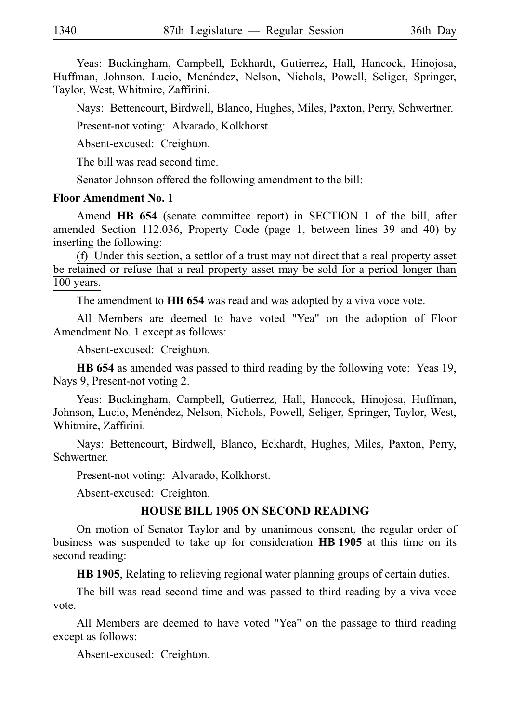Yeas: Buckingham, Campbell, Eckhardt, Gutierrez, Hall, Hancock, Hinojosa, Huffman, Johnson, Lucio, Menéndez, Nelson, Nichols, Powell, Seliger, Springer, Taylor, West, Whitmire, Zaffirini.

Nays: Bettencourt, Birdwell, Blanco, Hughes, Miles, Paxton, Perry, Schwertner.

Present-not voting: Alvarado, Kolkhorst.

Absent-excused: Creighton.

The bill was read second time.

Senator Johnson offered the following amendment to the bill:

### **Floor Amendment No. 1**

Amend **HB 654** (senate committee report) in SECTION 1 of the bill, after amended Section 112.036, Property Code (page 1, between lines 39 and 40) by inserting the following:

(f) Under this section, a settlor of a trust may not direct that a real property asset be retained or refuse that a real property asset may be sold for a period longer than 100 years.

The amendment to **HB 654** was read and was adopted by a viva voce vote.

All Members are deemed to have voted "Yea" on the adoption of Floor Amendment No. 1 except as follows:

Absent-excused: Creighton.

**HB 654** as amended was passed to third reading by the following vote: Yeas 19, Nays 9, Present-not voting 2.

Yeas: Buckingham, Campbell, Gutierrez, Hall, Hancock, Hinojosa, Huffman, Johnson, Lucio, Menéndez, Nelson, Nichols, Powell, Seliger, Springer, Taylor, West, Whitmire, Zaffirini.

Nays: Bettencourt, Birdwell, Blanco, Eckhardt, Hughes, Miles, Paxton, Perry, Schwertner.

Present-not voting: Alvarado, Kolkhorst.

Absent-excused: Creighton.

### **HOUSE BILL 1905 ON SECOND READING**

On motion of Senator Taylor and by unanimous consent, the regular order of business was suspended to take up for consideration **HBi1905** at this time on its second reading:

**HB 1905**, Relating to relieving regional water planning groups of certain duties.

The bill was read second time and was passed to third reading by a viva voce vote.

All Members are deemed to have voted "Yea" on the passage to third reading except as follows:

Absent-excused: Creighton.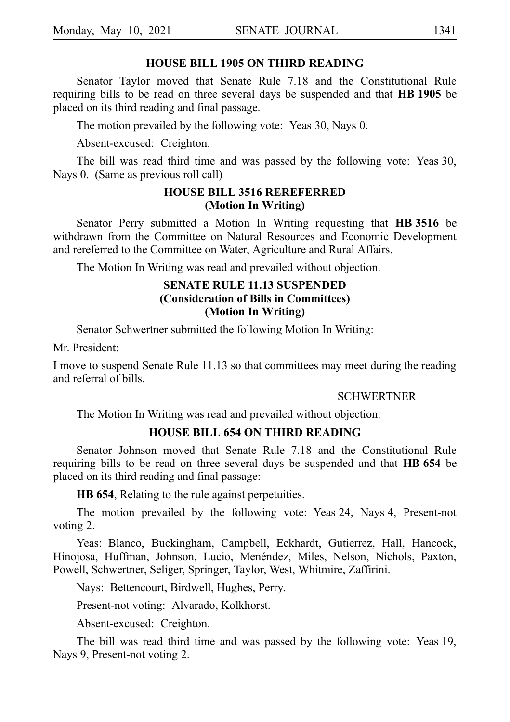### **HOUSE BILL 1905 ON THIRD READING**

Senator Taylor moved that Senate Rule 7.18 and the Constitutional Rule requiring bills to be read on three several days be suspended and that **HBi1905** be placed on its third reading and final passage.

The motion prevailed by the following vote: Yeas 30, Nays 0.

Absent-excused: Creighton.

The bill was read third time and was passed by the following vote: Yeas 30, Nays 0. (Same as previous roll call)

### **HOUSE BILL 3516 REREFERRED (Motion In Writing)**

Senator Perry submitted a Motion In Writing requesting that HB 3516 be withdrawn from the Committee on Natural Resources and Economic Development and rereferred to the Committee on Water, Agriculture and Rural Affairs.

The Motion In Writing was read and prevailed without objection.

### **SENATE RULE 11.13 SUSPENDED (Consideration of Bills in Committees) (Motion In Writing)**

Senator Schwertner submitted the following Motion In Writing:

Mr. President:

I move to suspend Senate Rule 11.13 so that committees may meet during the reading and referral of bills.

### **SCHWERTNER**

The Motion In Writing was read and prevailed without objection.

### **HOUSE BILL 654 ON THIRD READING**

Senator Johnson moved that Senate Rule 7.18 and the Constitutional Rule requiring bills to be read on three several days be suspended and that **HB** 654 be placed on its third reading and final passage:

**HB 654**, Relating to the rule against perpetuities.

The motion prevailed by the following vote: Yeas 24, Nays 4, Present-not voting 2.

Yeas: Blanco, Buckingham, Campbell, Eckhardt, Gutierrez, Hall, Hancock, Hinojosa, Huffman, Johnson, Lucio, Menéndez, Miles, Nelson, Nichols, Paxton, Powell, Schwertner, Seliger, Springer, Taylor, West, Whitmire, Zaffirini.

Nays: Bettencourt, Birdwell, Hughes, Perry.

Present-not voting: Alvarado, Kolkhorst.

Absent-excused: Creighton.

The bill was read third time and was passed by the following vote: Yeas 19, Nays 9, Present-not voting 2.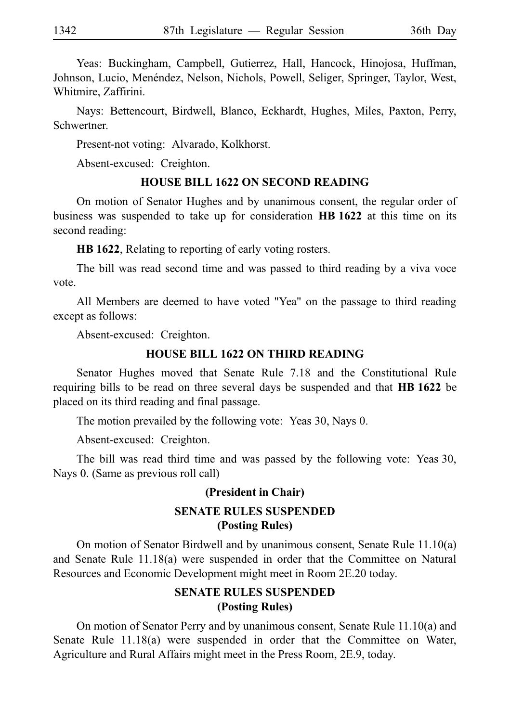Yeas: Buckingham, Campbell, Gutierrez, Hall, Hancock, Hinojosa, Huffman, Johnson, Lucio, Menéndez, Nelson, Nichols, Powell, Seliger, Springer, Taylor, West, Whitmire, Zaffirini.

Nays: Bettencourt, Birdwell, Blanco, Eckhardt, Hughes, Miles, Paxton, Perry, Schwertner.

Present-not voting: Alvarado, Kolkhorst.

Absent-excused: Creighton.

### **HOUSE BILL 1622 ON SECOND READING**

On motion of Senator Hughes and by unanimous consent, the regular order of business was suspended to take up for consideration **HBi1622** at this time on its second reading:

**HB 1622**, Relating to reporting of early voting rosters.

The bill was read second time and was passed to third reading by a viva voce vote.

All Members are deemed to have voted "Yea" on the passage to third reading except as follows:

Absent-excused: Creighton.

### **HOUSE BILL 1622 ON THIRD READING**

Senator Hughes moved that Senate Rule 7.18 and the Constitutional Rule requiring bills to be read on three several days be suspended and that **HBi1622** be placed on its third reading and final passage.

The motion prevailed by the following vote: Yeas 30, Nays 0.

Absent-excused: Creighton.

The bill was read third time and was passed by the following vote: Yeas 30, Nays 0. (Same as previous roll call)

# **(President in Chair) SENATE RULES SUSPENDED (Posting Rules)**

On motion of Senator Birdwell and by unanimous consent, Senate Rule 11.10(a) and Senate Rule 11.18(a) were suspended in order that the Committee on Natural Resources and Economic Development might meet in Room 2E.20 today.

# **SENATE RULES SUSPENDED (Posting Rules)**

On motion of Senator Perry and by unanimous consent, Senate Rule 11.10(a) and Senate Rule 11.18(a) were suspended in order that the Committee on Water, Agriculture and Rural Affairs might meet in the Press Room, 2E.9, today.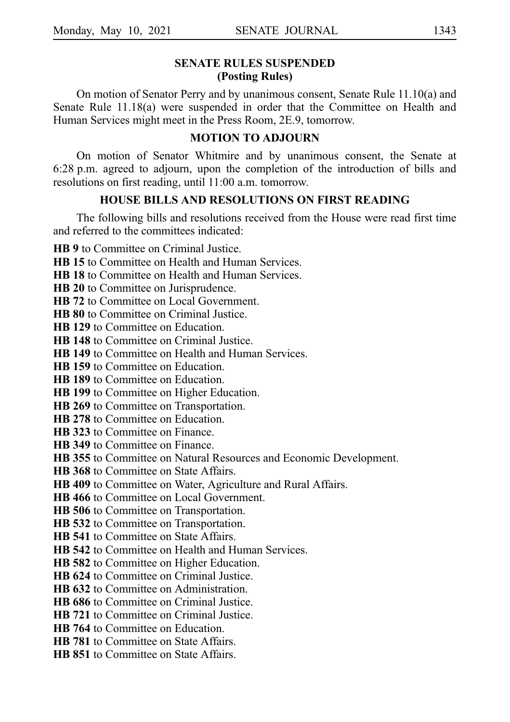### **SENATE RULES SUSPENDED (Posting Rules)**

On motion of Senator Perry and by unanimous consent, Senate Rule 11.10(a) and Senate Rule 11.18(a) were suspended in order that the Committee on Health and Human Services might meet in the Press Room, 2E.9, tomorrow.

### **MOTION TO ADJOURN**

On motion of Senator Whitmire and by unanimous consent, the Senate at 6:28 p.m. agreed to adjourn, upon the completion of the introduction of bills and resolutions on first reading, until 11:00 a.m. tomorrow.

### **HOUSE BILLS AND RESOLUTIONS ON FIRST READING**

The following bills and resolutions received from the House were read first time and referred to the committees indicated:

**HB 9** to Committee on Criminal Justice.

**HB 15** to Committee on Health and Human Services.

**HB 18** to Committee on Health and Human Services.

**HB 20** to Committee on Jurisprudence.

**HB 72** to Committee on Local Government.

**HB 80** to Committee on Criminal Justice.

**HB 129** to Committee on Education.

**HB 148** to Committee on Criminal Justice.

**HB 149** to Committee on Health and Human Services.

**HB 159** to Committee on Education.

**HB 189** to Committee on Education.

**HB 199** to Committee on Higher Education.

**HB 269** to Committee on Transportation.

**HB 278** to Committee on Education.

**HB 323** to Committee on Finance.

**HB 349** to Committee on Finance.

**HB 355** to Committee on Natural Resources and Economic Development.

**HB 368** to Committee on State Affairs.

**HB 409** to Committee on Water, Agriculture and Rural Affairs.

**HB 466** to Committee on Local Government.

**HB 506** to Committee on Transportation.

**HB 532** to Committee on Transportation.

**HB 541** to Committee on State Affairs.

**HB 542** to Committee on Health and Human Services.

**HB 582** to Committee on Higher Education.

**HB 624** to Committee on Criminal Justice.

**HB 632** to Committee on Administration.

**HB 686** to Committee on Criminal Justice.

**HB 721** to Committee on Criminal Justice.

**HB 764** to Committee on Education.

**HB 781** to Committee on State Affairs.

**HB 851** to Committee on State Affairs.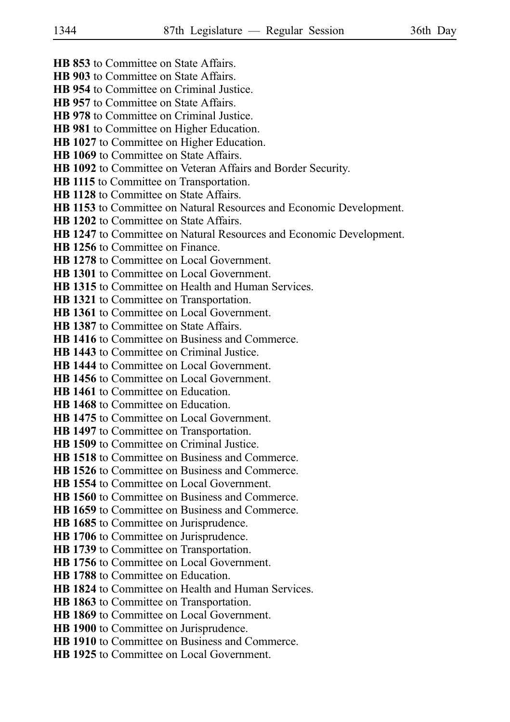- **HB 853** to Committee on State Affairs.
- **HB 903** to Committee on State Affairs.
- **HB 954** to Committee on Criminal Justice.
- **HB 957** to Committee on State Affairs.
- **HB 978** to Committee on Criminal Justice.
- **HB 981** to Committee on Higher Education.
- **HB 1027** to Committee on Higher Education.
- **HB 1069** to Committee on State Affairs.
- **HB 1092** to Committee on Veteran Affairs and Border Security.
- **HB 1115** to Committee on Transportation.
- **HB 1128** to Committee on State Affairs.
- **HB 1153** to Committee on Natural Resources and Economic Development.
- **HB 1202** to Committee on State Affairs.
- **HB 1247** to Committee on Natural Resources and Economic Development.
- **HB 1256** to Committee on Finance.
- **HB 1278** to Committee on Local Government.
- **HB 1301** to Committee on Local Government.
- **HB 1315** to Committee on Health and Human Services.
- **HB 1321** to Committee on Transportation.
- **HB 1361** to Committee on Local Government.
- **HB 1387** to Committee on State Affairs.
- **HB 1416** to Committee on Business and Commerce.
- **HB 1443** to Committee on Criminal Justice.
- **HB 1444** to Committee on Local Government.
- **HB 1456** to Committee on Local Government.
- **HB 1461** to Committee on Education.
- **HB 1468** to Committee on Education.
- **HB 1475** to Committee on Local Government.
- **HB 1497** to Committee on Transportation.
- **HB 1509** to Committee on Criminal Justice.
- **HB 1518** to Committee on Business and Commerce.
- **HB 1526** to Committee on Business and Commerce.
- **HB 1554** to Committee on Local Government.
- **HB 1560** to Committee on Business and Commerce.
- **HB 1659** to Committee on Business and Commerce.
- **HB 1685** to Committee on Jurisprudence.
- **HB 1706** to Committee on Jurisprudence.
- **HB 1739** to Committee on Transportation.
- **HB 1756** to Committee on Local Government.
- **HB 1788** to Committee on Education.
- **HB 1824** to Committee on Health and Human Services.
- **HB 1863** to Committee on Transportation.
- **HB 1869** to Committee on Local Government.
- **HB 1900** to Committee on Jurisprudence.
- **HB 1910** to Committee on Business and Commerce.
- **HB 1925** to Committee on Local Government.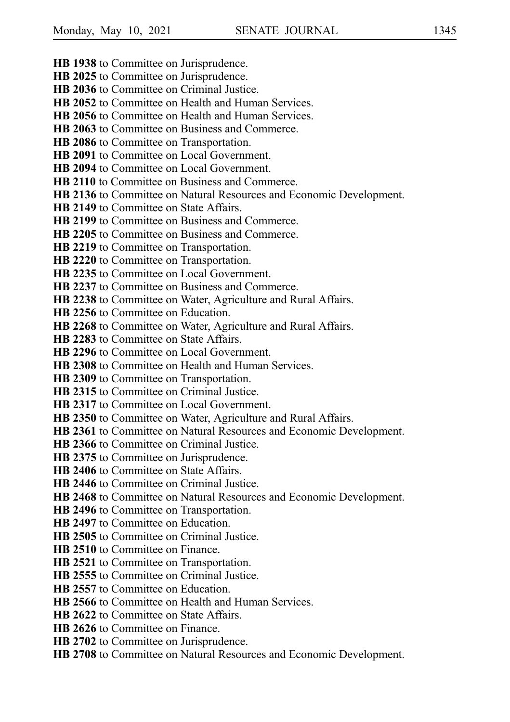**HB 1938** to Committee on Jurisprudence. **HB 2025** to Committee on Jurisprudence. **HB 2036** to Committee on Criminal Justice. **HB 2052** to Committee on Health and Human Services. **HB 2056** to Committee on Health and Human Services. **HB 2063** to Committee on Business and Commerce. **HB 2086** to Committee on Transportation. **HB 2091** to Committee on Local Government. **HB 2094** to Committee on Local Government. **HB 2110** to Committee on Business and Commerce. **HB 2136** to Committee on Natural Resources and Economic Development. **HB 2149** to Committee on State Affairs. **HB 2199** to Committee on Business and Commerce. **HB 2205** to Committee on Business and Commerce. **HB 2219** to Committee on Transportation. **HB 2220** to Committee on Transportation. **HB 2235** to Committee on Local Government. **HB 2237** to Committee on Business and Commerce. **HB 2238** to Committee on Water, Agriculture and Rural Affairs. **HB 2256** to Committee on Education. **HB 2268** to Committee on Water, Agriculture and Rural Affairs. **HB 2283** to Committee on State Affairs. **HB 2296** to Committee on Local Government. **HB 2308** to Committee on Health and Human Services. **HB 2309** to Committee on Transportation. **HB 2315** to Committee on Criminal Justice. **HB 2317** to Committee on Local Government. **HB 2350** to Committee on Water, Agriculture and Rural Affairs. **HB 2361** to Committee on Natural Resources and Economic Development. **HB 2366** to Committee on Criminal Justice. **HB 2375** to Committee on Jurisprudence. **HB 2406** to Committee on State Affairs. **HB 2446** to Committee on Criminal Justice. **HB 2468** to Committee on Natural Resources and Economic Development. **HB 2496** to Committee on Transportation. **HB 2497** to Committee on Education. **HB 2505** to Committee on Criminal Justice. **HB 2510** to Committee on Finance. **HB 2521** to Committee on Transportation. **HB 2555** to Committee on Criminal Justice. **HB 2557** to Committee on Education. **HB 2566** to Committee on Health and Human Services. **HB 2622** to Committee on State Affairs. **HB 2626** to Committee on Finance. **HB 2702** to Committee on Jurisprudence. **HB 2708** to Committee on Natural Resources and Economic Development.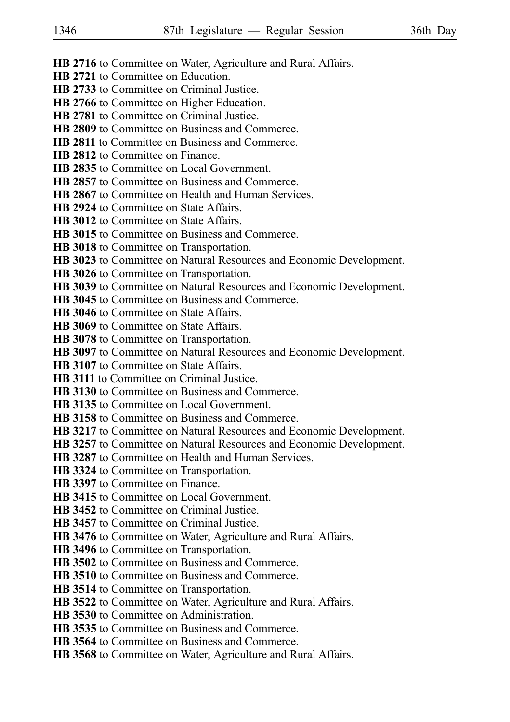- **HB 2716** to Committee on Water, Agriculture and Rural Affairs.
- **HB 2721** to Committee on Education.
- **HB 2733** to Committee on Criminal Justice.
- **HB 2766** to Committee on Higher Education.
- **HB 2781** to Committee on Criminal Justice.
- **HB 2809** to Committee on Business and Commerce.
- **HB 2811** to Committee on Business and Commerce.
- **HB 2812** to Committee on Finance.
- **HB 2835** to Committee on Local Government.
- **HB 2857** to Committee on Business and Commerce.
- **HB 2867** to Committee on Health and Human Services.
- **HB 2924** to Committee on State Affairs.
- **HB 3012** to Committee on State Affairs.
- **HB 3015** to Committee on Business and Commerce.
- **HB 3018** to Committee on Transportation.
- **HB 3023** to Committee on Natural Resources and Economic Development.
- **HB 3026** to Committee on Transportation.
- **HB 3039** to Committee on Natural Resources and Economic Development.
- **HB 3045** to Committee on Business and Commerce.
- **HB 3046** to Committee on State Affairs.
- **HB 3069** to Committee on State Affairs.
- **HB 3078** to Committee on Transportation.
- **HB 3097** to Committee on Natural Resources and Economic Development.
- **HB 3107** to Committee on State Affairs.
- **HB 3111** to Committee on Criminal Justice.
- **HB 3130** to Committee on Business and Commerce.
- **HB 3135** to Committee on Local Government.
- **HB 3158** to Committee on Business and Commerce.
- **HB 3217** to Committee on Natural Resources and Economic Development.
- **HB 3257** to Committee on Natural Resources and Economic Development.
- **HB 3287** to Committee on Health and Human Services.
- **HB 3324** to Committee on Transportation.
- **HB 3397** to Committee on Finance.
- **HB 3415** to Committee on Local Government.
- **HB 3452** to Committee on Criminal Justice.
- **HB 3457** to Committee on Criminal Justice.
- **HB 3476** to Committee on Water, Agriculture and Rural Affairs.
- **HB 3496** to Committee on Transportation.
- **HB 3502** to Committee on Business and Commerce.
- **HB 3510** to Committee on Business and Commerce.
- **HB 3514** to Committee on Transportation.
- **HB 3522** to Committee on Water, Agriculture and Rural Affairs.
- **HB 3530** to Committee on Administration.
- **HB 3535** to Committee on Business and Commerce.
- **HB 3564** to Committee on Business and Commerce.
- **HB 3568** to Committee on Water, Agriculture and Rural Affairs.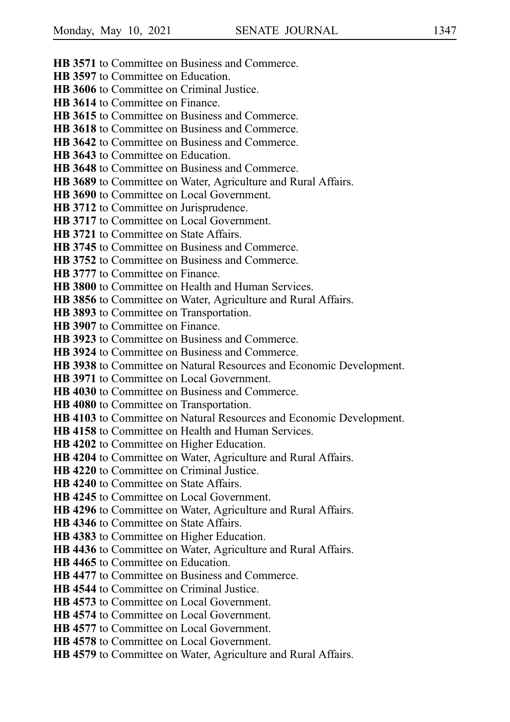- **HB 3571** to Committee on Business and Commerce.
- **HB 3597** to Committee on Education.
- **HB 3606** to Committee on Criminal Justice.
- **HB 3614** to Committee on Finance.
- **HB 3615** to Committee on Business and Commerce.
- **HB 3618** to Committee on Business and Commerce.
- **HB 3642** to Committee on Business and Commerce.
- **HB 3643** to Committee on Education.
- **HB 3648** to Committee on Business and Commerce.
- **HB 3689** to Committee on Water, Agriculture and Rural Affairs.
- **HB 3690** to Committee on Local Government.
- **HB 3712** to Committee on Jurisprudence.
- **HB 3717** to Committee on Local Government.
- **HB 3721** to Committee on State Affairs.
- **HB 3745** to Committee on Business and Commerce.
- **HB 3752** to Committee on Business and Commerce.
- **HB 3777** to Committee on Finance.
- **HB 3800** to Committee on Health and Human Services.
- **HB 3856** to Committee on Water, Agriculture and Rural Affairs.
- **HB 3893** to Committee on Transportation.
- **HB 3907** to Committee on Finance.
- **HB 3923** to Committee on Business and Commerce.
- **HB 3924** to Committee on Business and Commerce.
- **HB 3938** to Committee on Natural Resources and Economic Development.
- **HB 3971** to Committee on Local Government.
- **HB 4030** to Committee on Business and Commerce.
- **HB 4080** to Committee on Transportation.
- **HB 4103** to Committee on Natural Resources and Economic Development.
- **HB 4158** to Committee on Health and Human Services.
- **HB 4202** to Committee on Higher Education.
- **HB 4204** to Committee on Water, Agriculture and Rural Affairs.
- **HB 4220** to Committee on Criminal Justice.
- **HB 4240** to Committee on State Affairs.
- **HB 4245** to Committee on Local Government.
- **HB 4296** to Committee on Water, Agriculture and Rural Affairs.
- **HB 4346** to Committee on State Affairs.
- **HB 4383** to Committee on Higher Education.
- **HB 4436** to Committee on Water, Agriculture and Rural Affairs.
- **HB 4465** to Committee on Education.
- **HB 4477** to Committee on Business and Commerce.
- **HB 4544** to Committee on Criminal Justice.
- **HB 4573** to Committee on Local Government.
- **HB 4574** to Committee on Local Government.
- **HB 4577** to Committee on Local Government.
- **HB 4578** to Committee on Local Government.
- **HB 4579** to Committee on Water, Agriculture and Rural Affairs.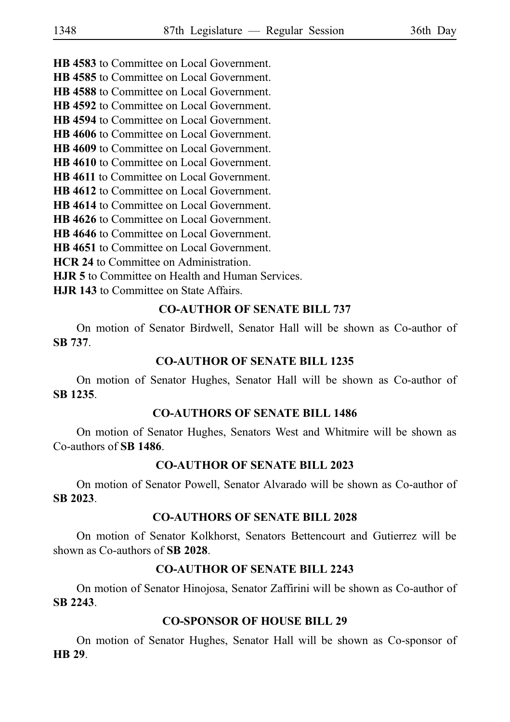**HB 4583** to Committee on Local Government.

**HB 4585** to Committee on Local Government.

**HB 4588** to Committee on Local Government. **HB 4592** to Committee on Local Government.

**HB 4594** to Committee on Local Government.

**HB 4606** to Committee on Local Government.

**HB 4609** to Committee on Local Government.

**HB 4610** to Committee on Local Government.

**HB 4611** to Committee on Local Government.

**HB 4612** to Committee on Local Government.

**HB 4614** to Committee on Local Government.

**HB 4626** to Committee on Local Government.

**HB 4646** to Committee on Local Government.

**HB 4651** to Committee on Local Government.

**HCR 24** to Committee on Administration.

**HJR 5** to Committee on Health and Human Services.

**HJR 143** to Committee on State Affairs.

# **CO-AUTHOR OF SENATE BILL 737**

On motion of Senator Birdwell, Senator Hall will be shown as Co-author of **SBi737**.

# **CO-AUTHOR OF SENATE BILL 1235**

On motion of Senator Hughes, Senator Hall will be shown as Co-author of **SBi1235**.

### **CO-AUTHORS OF SENATE BILL 1486**

On motion of Senator Hughes, Senators West and Whitmire will be shown as Co-authors of **SBi1486**.

# **CO-AUTHOR OF SENATE BILL 2023**

On motion of Senator Powell, Senator Alvarado will be shown as Co-author of **SBi2023**.

# **CO-AUTHORS OF SENATE BILL 2028**

On motion of Senator Kolkhorst, Senators Bettencourt and Gutierrez will be shown as Co-authors of **SB 2028**.

# **CO-AUTHOR OF SENATE BILL 2243**

On motion of Senator Hinojosa, Senator Zaffirini will be shown as Co-author of **SBi2243**.

# **CO-SPONSOR OF HOUSE BILL 29**

On motion of Senator Hughes, Senator Hall will be shown as Co-sponsor of **HBi29**.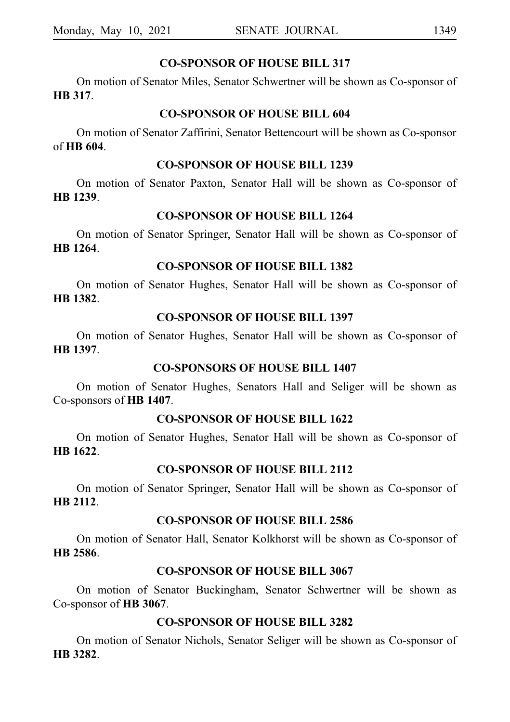### **CO-SPONSOR OF HOUSE BILL 317**

On motion of Senator Miles, Senator Schwertner will be shown as Co-sponsor of **HBi317**.

### **CO-SPONSOR OF HOUSE BILL 604**

On motion of Senator Zaffirini, Senator Bettencourt will be shown as Co-sponsor of **HBi604**.

### **CO-SPONSOR OF HOUSE BILL 1239**

On motion of Senator Paxton, Senator Hall will be shown as Co-sponsor of **HBi1239**.

### **CO-SPONSOR OF HOUSE BILL 1264**

On motion of Senator Springer, Senator Hall will be shown as Co-sponsor of **HB** 1264.

### **CO-SPONSOR OF HOUSE BILL 1382**

On motion of Senator Hughes, Senator Hall will be shown as Co-sponsor of **HBi1382**.

### **CO-SPONSOR OF HOUSE BILL 1397**

On motion of Senator Hughes, Senator Hall will be shown as Co-sponsor of **HBi1397**.

### **CO-SPONSORS OF HOUSE BILL 1407**

On motion of Senator Hughes, Senators Hall and Seliger will be shown as Co-sponsors of **HBi1407**.

### **CO-SPONSOR OF HOUSE BILL 1622**

On motion of Senator Hughes, Senator Hall will be shown as Co-sponsor of **HBi1622**.

### **CO-SPONSOR OF HOUSE BILL 2112**

On motion of Senator Springer, Senator Hall will be shown as Co-sponsor of **HB** 2112.

### **CO-SPONSOR OF HOUSE BILL 2586**

On motion of Senator Hall, Senator Kolkhorst will be shown as Co-sponsor of **HBi2586**.

### **CO-SPONSOR OF HOUSE BILL 3067**

On motion of Senator Buckingham, Senator Schwertner will be shown as Co-sponsor of **HB** 3067.

# **CO-SPONSOR OF HOUSE BILL 3282**

On motion of Senator Nichols, Senator Seliger will be shown as Co-sponsor of **HBi3282**.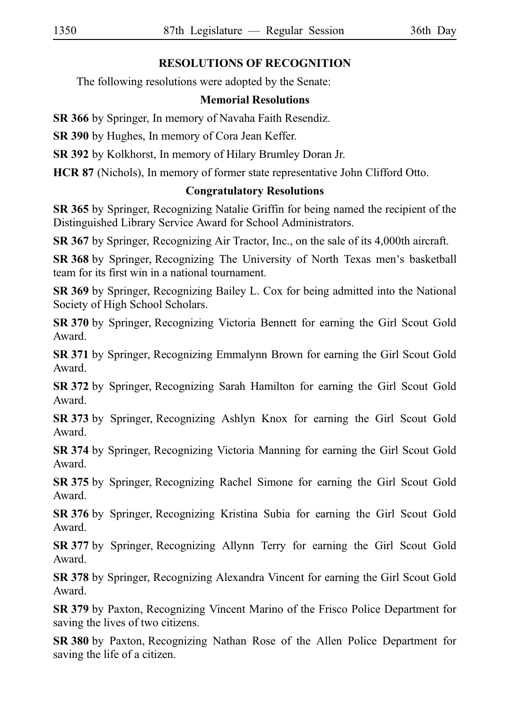# **RESOLUTIONS OF RECOGNITION**

The following resolutions were adopted by the Senate:

# **Memorial Resolutions**

**SR 366** by Springer, In memory of Navaha Faith Resendiz.

**SR 390** by Hughes, In memory of Cora Jean Keffer.

**SR 392** by Kolkhorst, In memory of Hilary Brumley Doran Jr.

**HCR 87** (Nichols), In memory of former state representative John Clifford Otto.

# **Congratulatory Resolutions**

**SR 365** by Springer, Recognizing Natalie Griffin for being named the recipient of the Distinguished Library Service Award for School Administrators.

**SR 367** by Springer, Recognizing Air Tractor, Inc., on the sale of its 4,000th aircraft.

**SR 368** by Springer, Recognizing The University of North Texas men's basketball team for its first win in a national tournament.

**SR 369** by Springer, Recognizing Bailey L. Cox for being admitted into the National Society of High School Scholars.

**SR 370** by Springer, Recognizing Victoria Bennett for earning the Girl Scout Gold Award.

**SR 371** by Springer, Recognizing Emmalynn Brown for earning the Girl Scout Gold Award.

**SR 372** by Springer, Recognizing Sarah Hamilton for earning the Girl Scout Gold Award.

**SR 373** by Springer, Recognizing Ashlyn Knox for earning the Girl Scout Gold Award.

**SR 374** by Springer, Recognizing Victoria Manning for earning the Girl Scout Gold Award.

**SR 375** by Springer, Recognizing Rachel Simone for earning the Girl Scout Gold Award.

**SR 376** by Springer, Recognizing Kristina Subia for earning the Girl Scout Gold Award.

**SR 377** by Springer, Recognizing Allynn Terry for earning the Girl Scout Gold Award.

**SR 378** by Springer, Recognizing Alexandra Vincent for earning the Girl Scout Gold Award.

**SR 379** by Paxton, Recognizing Vincent Marino of the Frisco Police Department for saving the lives of two citizens.

**SR 380** by Paxton, Recognizing Nathan Rose of the Allen Police Department for saving the life of a citizen.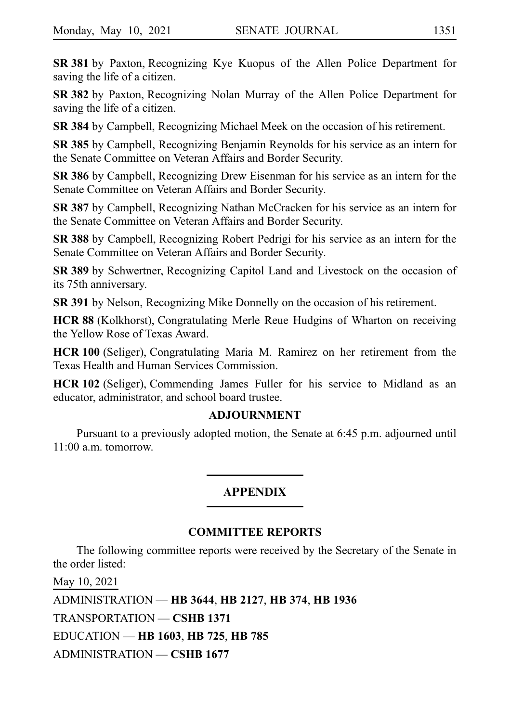**SR 381** by Paxton, Recognizing Kye Kuopus of the Allen Police Department for saving the life of a citizen.

**SR 382** by Paxton, Recognizing Nolan Murray of the Allen Police Department for saving the life of a citizen.

**SR 384** by Campbell, Recognizing Michael Meek on the occasion of his retirement.

**SR 385** by Campbell, Recognizing Benjamin Reynolds for his service as an intern for the Senate Committee on Veteran Affairs and Border Security.

**SR 386** by Campbell, Recognizing Drew Eisenman for his service as an intern for the Senate Committee on Veteran Affairs and Border Security.

**SR 387** by Campbell, Recognizing Nathan McCracken for his service as an intern for the Senate Committee on Veteran Affairs and Border Security.

**SR 388** by Campbell, Recognizing Robert Pedrigi for his service as an intern for the Senate Committee on Veteran Affairs and Border Security.

**SR 389** by Schwertner, Recognizing Capitol Land and Livestock on the occasion of its 75th anniversary.

**SR 391** by Nelson, Recognizing Mike Donnelly on the occasion of his retirement.

HCR 88 (Kolkhorst), Congratulating Merle Reue Hudgins of Wharton on receiving the Yellow Rose of Texas Award.

**HCR 100** (Seliger), Congratulating Maria M. Ramirez on her retirement from the Texas Health and Human Services Commission.

**HCR 102** (Seliger), Commending James Fuller for his service to Midland as an educator, administrator, and school board trustee.

### **ADJOURNMENT**

Pursuant to a previously adopted motion, the Senate at 6:45 p.m. adjourned until 11:00 a.m. tomorrow.

### **APPENDIX**

### **COMMITTEE REPORTS**

The following committee reports were received by the Secretary of the Senate in the order listed:

May 10, 2021 ADMINISTRATION — **HB**i**3644**, **HB**i**2127**, **HB**i**374**, **HB**i**1936** TRANSPORTATION — **CSHB**i**1371** EDUCATION — **HB**i**1603**, **HB**i**725**, **HB**i**785** ADMINISTRATION — **CSHB**i**1677**